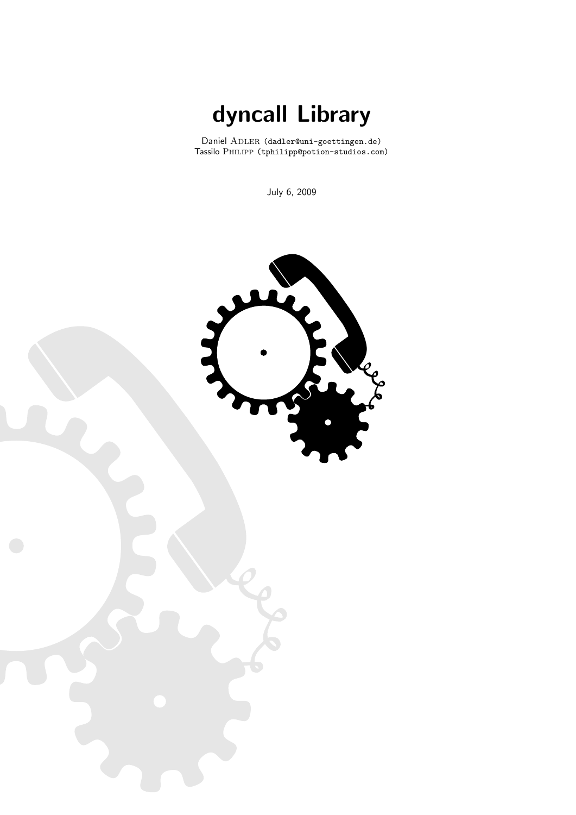dyncall Library

Daniel ADLER (dadler@uni-goettingen.de) Tassilo Philipp (tphilipp@potion-studios.com)

July 6, 2009

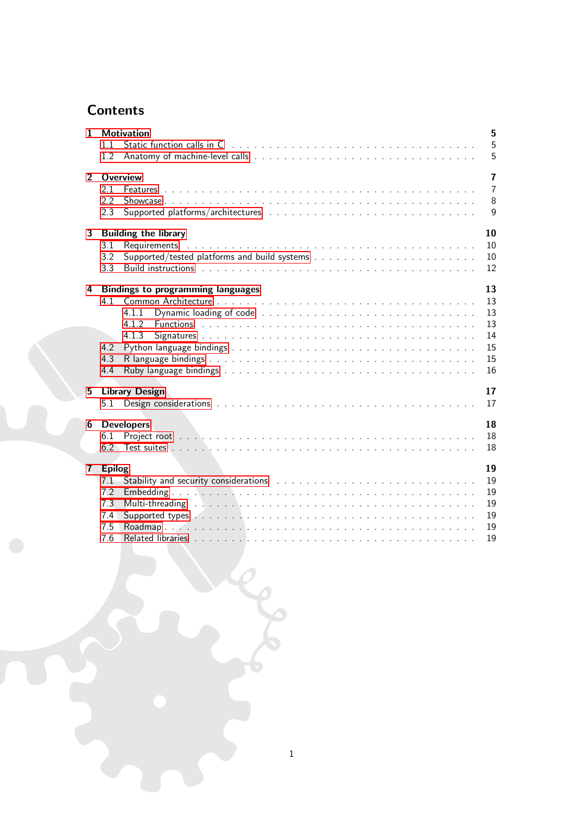# **Contents**

| $\mathbf{1}$   | 5<br><b>Motivation</b><br>5<br>11<br>5<br>1.2                                                                                                                                                                                                                                                              |
|----------------|------------------------------------------------------------------------------------------------------------------------------------------------------------------------------------------------------------------------------------------------------------------------------------------------------------|
| $\overline{2}$ | <b>Overview</b><br>$\overline{7}$<br>$\overline{7}$<br>2.1<br>8<br>2.2<br>$\mathsf{Q}$<br>2.3                                                                                                                                                                                                              |
| 3              | 10<br><b>Building the library</b><br>10<br>3.1<br>3.2<br>10<br>Build instructions the contract of the contract of the contract of the contract of the contract of the contract of the contract of the contract of the contract of the contract of the contract of the contract of the contrac<br>12<br>3.3 |
| 4              | 13<br><b>Bindings to programming languages</b><br>13<br>4.1<br>13<br>4.1.1<br>4.1.2<br>13<br>14<br>4.1.3<br>15<br>4.2<br>15<br>4.3<br>16<br>4.4                                                                                                                                                            |
| 5              | <b>Library Design</b><br>17<br>17<br>5.1                                                                                                                                                                                                                                                                   |
| 6              | <b>Developers</b><br>18<br>18<br>6.1<br>6.2<br>18                                                                                                                                                                                                                                                          |
| 7 <sup>7</sup> | 19<br><b>Epilog</b><br>19<br>7.1<br>7.2<br>19<br>7.3<br>19<br>Supported types Albert Library Construction Construction Construction Construction Construction Construction C<br>19<br>7.4<br>7.5<br>19<br>7.6<br>19                                                                                        |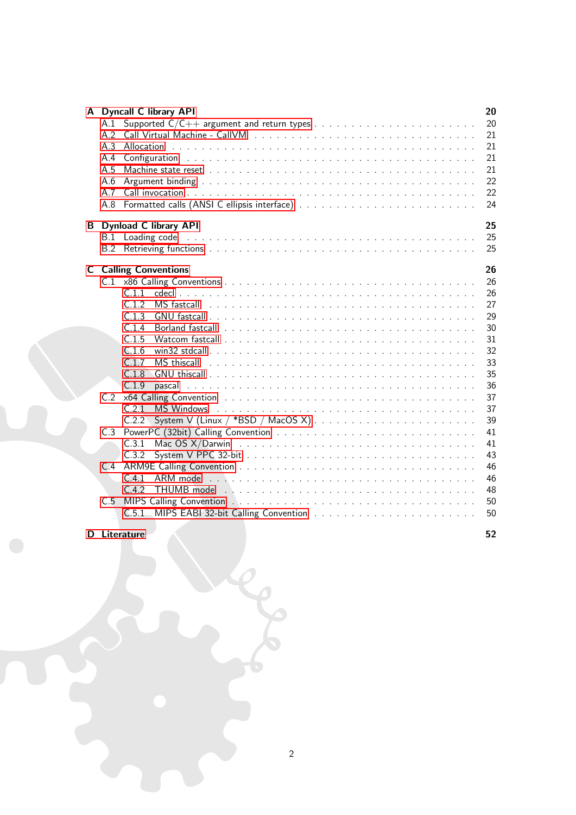|     |                                        | 20                                                                                                                                                                                                                                                                                                                                                                                                                                                                                                                                                                                                                                       |
|-----|----------------------------------------|------------------------------------------------------------------------------------------------------------------------------------------------------------------------------------------------------------------------------------------------------------------------------------------------------------------------------------------------------------------------------------------------------------------------------------------------------------------------------------------------------------------------------------------------------------------------------------------------------------------------------------------|
| A.1 |                                        | 20                                                                                                                                                                                                                                                                                                                                                                                                                                                                                                                                                                                                                                       |
| A.2 |                                        | 21                                                                                                                                                                                                                                                                                                                                                                                                                                                                                                                                                                                                                                       |
|     |                                        | 21                                                                                                                                                                                                                                                                                                                                                                                                                                                                                                                                                                                                                                       |
| A.4 |                                        | 21                                                                                                                                                                                                                                                                                                                                                                                                                                                                                                                                                                                                                                       |
|     |                                        | 21                                                                                                                                                                                                                                                                                                                                                                                                                                                                                                                                                                                                                                       |
|     |                                        | 22                                                                                                                                                                                                                                                                                                                                                                                                                                                                                                                                                                                                                                       |
|     |                                        | 22                                                                                                                                                                                                                                                                                                                                                                                                                                                                                                                                                                                                                                       |
|     |                                        | 24                                                                                                                                                                                                                                                                                                                                                                                                                                                                                                                                                                                                                                       |
|     |                                        | 25                                                                                                                                                                                                                                                                                                                                                                                                                                                                                                                                                                                                                                       |
|     |                                        | 25                                                                                                                                                                                                                                                                                                                                                                                                                                                                                                                                                                                                                                       |
|     |                                        | 25                                                                                                                                                                                                                                                                                                                                                                                                                                                                                                                                                                                                                                       |
|     |                                        |                                                                                                                                                                                                                                                                                                                                                                                                                                                                                                                                                                                                                                          |
|     |                                        | 26                                                                                                                                                                                                                                                                                                                                                                                                                                                                                                                                                                                                                                       |
|     |                                        | 26                                                                                                                                                                                                                                                                                                                                                                                                                                                                                                                                                                                                                                       |
|     | C.1.1                                  | 26                                                                                                                                                                                                                                                                                                                                                                                                                                                                                                                                                                                                                                       |
|     | C.1.2<br>MS fastcall                   | 27                                                                                                                                                                                                                                                                                                                                                                                                                                                                                                                                                                                                                                       |
|     | C.1.3                                  | 29                                                                                                                                                                                                                                                                                                                                                                                                                                                                                                                                                                                                                                       |
|     | C.1.4                                  | 30                                                                                                                                                                                                                                                                                                                                                                                                                                                                                                                                                                                                                                       |
|     |                                        | 31                                                                                                                                                                                                                                                                                                                                                                                                                                                                                                                                                                                                                                       |
|     |                                        | 32                                                                                                                                                                                                                                                                                                                                                                                                                                                                                                                                                                                                                                       |
|     |                                        | 33                                                                                                                                                                                                                                                                                                                                                                                                                                                                                                                                                                                                                                       |
|     |                                        | 35                                                                                                                                                                                                                                                                                                                                                                                                                                                                                                                                                                                                                                       |
|     |                                        | 36                                                                                                                                                                                                                                                                                                                                                                                                                                                                                                                                                                                                                                       |
|     |                                        | 37                                                                                                                                                                                                                                                                                                                                                                                                                                                                                                                                                                                                                                       |
|     |                                        | 37                                                                                                                                                                                                                                                                                                                                                                                                                                                                                                                                                                                                                                       |
|     |                                        | 39                                                                                                                                                                                                                                                                                                                                                                                                                                                                                                                                                                                                                                       |
|     |                                        | 41                                                                                                                                                                                                                                                                                                                                                                                                                                                                                                                                                                                                                                       |
|     |                                        | 41<br>43                                                                                                                                                                                                                                                                                                                                                                                                                                                                                                                                                                                                                                 |
|     |                                        | 46                                                                                                                                                                                                                                                                                                                                                                                                                                                                                                                                                                                                                                       |
|     |                                        | 46                                                                                                                                                                                                                                                                                                                                                                                                                                                                                                                                                                                                                                       |
|     |                                        | 48                                                                                                                                                                                                                                                                                                                                                                                                                                                                                                                                                                                                                                       |
|     |                                        | 50                                                                                                                                                                                                                                                                                                                                                                                                                                                                                                                                                                                                                                       |
|     |                                        | 50                                                                                                                                                                                                                                                                                                                                                                                                                                                                                                                                                                                                                                       |
|     |                                        |                                                                                                                                                                                                                                                                                                                                                                                                                                                                                                                                                                                                                                          |
|     |                                        | 52                                                                                                                                                                                                                                                                                                                                                                                                                                                                                                                                                                                                                                       |
|     | A.3<br>A.5<br>A.6<br>A.7<br>A.8<br>C.5 | A Dyncall C library API<br>Configuration<br><b>B</b> Dynload C library API<br>B.1 Loading code entering the state of the state of the state of the state of the state of the state of the state of the state of the state of the state of the state of the state of the state of the state of the state of t<br>B.2<br><b>C</b> Calling Conventions<br>C.1.5<br>C.1.6<br>C.1.7<br>MS thiscall<br>C.1.8<br>C.1.9<br>pascal<br>C.2.1<br>MS Windows<br>System V (Linux / *BSD / MacOS X) $\ldots \ldots \ldots \ldots \ldots \ldots$<br>C.2.2<br>C.3.1<br>C.3.2<br>C.4.1<br>ARM mode<br>C.4.2<br>THUMB mode<br>C.5.1<br><b>D</b> Literature |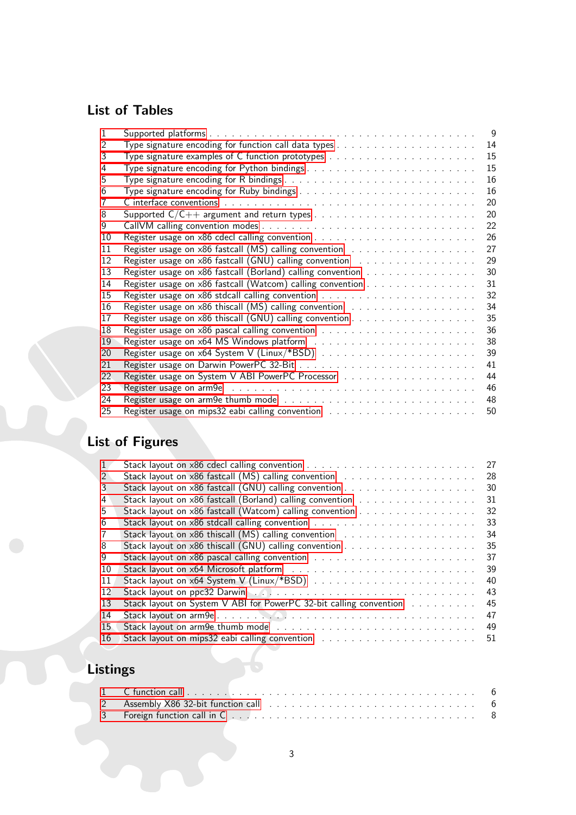# List of Tables

| 1  |                                                                                                             | 9  |
|----|-------------------------------------------------------------------------------------------------------------|----|
| 2  |                                                                                                             | 14 |
| 3  |                                                                                                             | 15 |
| 4  | Type signature encoding for Python bindings                                                                 | 15 |
| 5  |                                                                                                             | 16 |
| 6  |                                                                                                             | 16 |
|    |                                                                                                             | 20 |
| 8  |                                                                                                             | 20 |
| 9  |                                                                                                             | 22 |
| 10 |                                                                                                             | 26 |
| 11 | Register usage on $x86$ fastcall (MS) calling convention $\ldots \ldots \ldots \ldots \ldots \ldots$        | 27 |
| 12 | Register usage on $x86$ fastcall (GNU) calling convention $\ldots \ldots \ldots \ldots \ldots$              | 29 |
| 13 | Register usage on x86 fastcall (Borland) calling convention                                                 | 30 |
| 14 | Register usage on x86 fastcall (Watcom) calling convention                                                  | 31 |
| 15 |                                                                                                             | 32 |
| 16 | Register usage on $x86$ thiscall (MS) calling convention $\ldots \ldots \ldots \ldots \ldots \ldots$        | 34 |
| 17 |                                                                                                             | 35 |
| 18 |                                                                                                             | 36 |
| 19 |                                                                                                             | 38 |
| 20 |                                                                                                             | 39 |
| 21 |                                                                                                             | 41 |
| 22 |                                                                                                             | 44 |
| 23 |                                                                                                             | 46 |
| 24 | Register usage on arm 9e thumb mode $\ldots \ldots \ldots \ldots \ldots \ldots \ldots \ldots \ldots \ldots$ | 48 |
| 25 |                                                                                                             | 50 |

# List of Figures

|               |                                                                                                                 | 27 |
|---------------|-----------------------------------------------------------------------------------------------------------------|----|
| $\mathcal{P}$ |                                                                                                                 | 28 |
| 3             |                                                                                                                 | 30 |
| 4             | Stack layout on x86 fastcall (Borland) calling convention                                                       | 31 |
| 5             | Stack layout on x86 fastcall (Watcom) calling convention                                                        | 32 |
| 6             |                                                                                                                 | 33 |
|               |                                                                                                                 | 34 |
| 8             |                                                                                                                 | 35 |
| g             |                                                                                                                 | 37 |
| 10            |                                                                                                                 | 39 |
| 11            |                                                                                                                 | 40 |
| 12            | Stack layout on ppc32 Darwin (Additional Additional Additional Additional Additional Additional Additional Add  | 43 |
| 13            | Stack layout on System V ABI for PowerPC 32-bit calling convention                                              | 45 |
| 14            |                                                                                                                 | 47 |
| 15            |                                                                                                                 | 49 |
| 16            | Stack layout on mips32 eabi calling convention results and successive successive or service or set of the Stack | 51 |

# Listings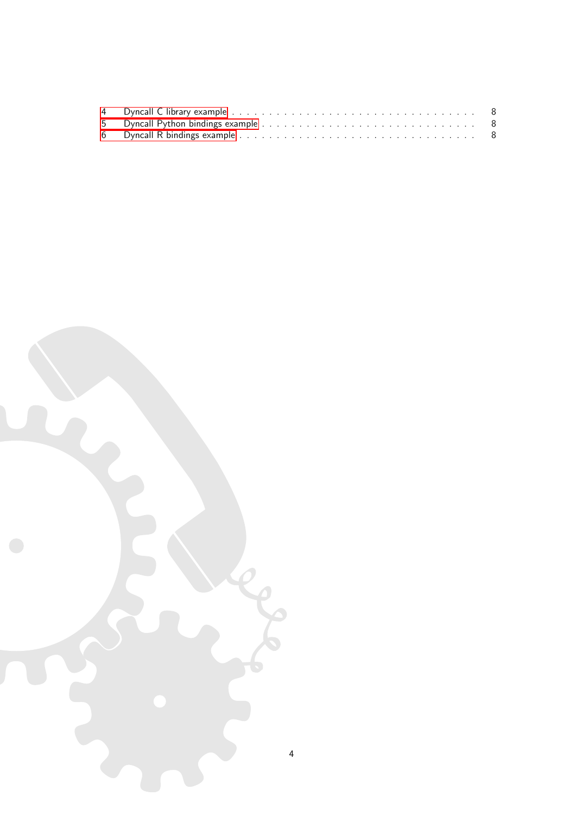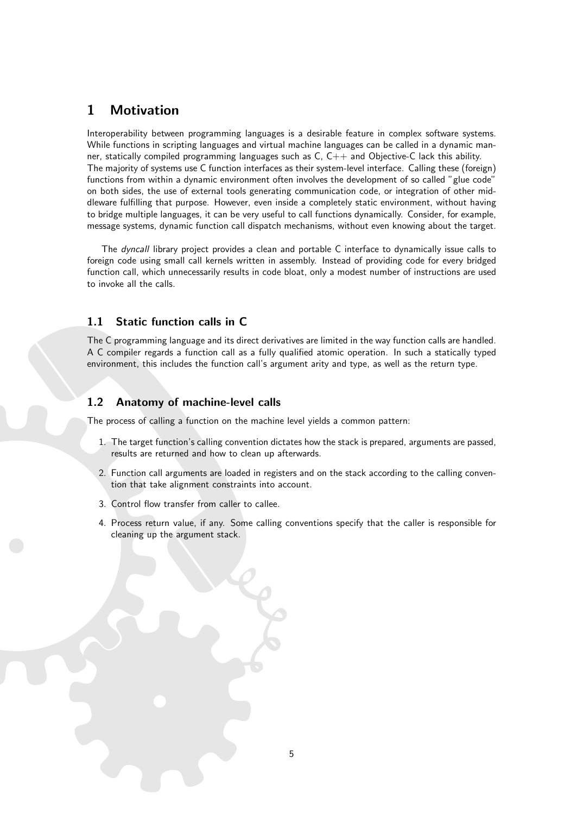# <span id="page-5-0"></span>1 Motivation

Interoperability between programming languages is a desirable feature in complex software systems. While functions in scripting languages and virtual machine languages can be called in a dynamic manner, statically compiled programming languages such as C, C++ and Objective-C lack this ability. The majority of systems use C function interfaces as their system-level interface. Calling these (foreign) functions from within a dynamic environment often involves the development of so called "glue code" on both sides, the use of external tools generating communication code, or integration of other middleware fulfilling that purpose. However, even inside a completely static environment, without having to bridge multiple languages, it can be very useful to call functions dynamically. Consider, for example, message systems, dynamic function call dispatch mechanisms, without even knowing about the target.

The *dyncall* library project provides a clean and portable C interface to dynamically issue calls to foreign code using small call kernels written in assembly. Instead of providing code for every bridged function call, which unnecessarily results in code bloat, only a modest number of instructions are used to invoke all the calls.

## <span id="page-5-1"></span>1.1 Static function calls in C

The C programming language and its direct derivatives are limited in the way function calls are handled. A C compiler regards a function call as a fully qualified atomic operation. In such a statically typed environment, this includes the function call's argument arity and type, as well as the return type.

## <span id="page-5-2"></span>1.2 Anatomy of machine-level calls

The process of calling a function on the machine level yields a common pattern:

- 1. The target function's calling convention dictates how the stack is prepared, arguments are passed, results are returned and how to clean up afterwards.
- 2. Function call arguments are loaded in registers and on the stack according to the calling convention that take alignment constraints into account.
- 3. Control flow transfer from caller to callee.
- 4. Process return value, if any. Some calling conventions specify that the caller is responsible for cleaning up the argument stack.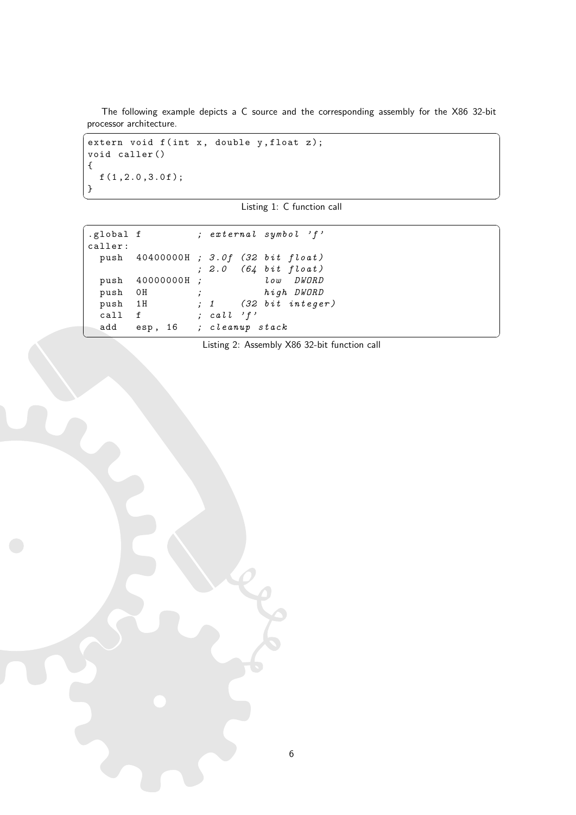The following example depicts a C source and the corresponding assembly for the X86 32-bit processor architecture.

```
\overline{a} \overline{b} \overline{a} \overline{b} \overline{c} \overline{d} \overline{d} \overline{d} \overline{d} \overline{d} \overline{d} \overline{d} \overline{d} \overline{d} \overline{d} \overline{d} \overline{d} \overline{d} \overline{d} \overline{d} \overline{d} \overline{d} \overline{d} \overline{d} \overline{extern void f (int x, double y, float z);
 void caller ()
 {
      f(1, 2.0, 3.0f);
 }
```


<span id="page-6-1"></span>

| .global f |                         |                               | ; external symbol 'f'               |
|-----------|-------------------------|-------------------------------|-------------------------------------|
| caller:   |                         |                               |                                     |
|           |                         |                               | push 40400000H; 3.0f (32 bit float) |
|           |                         |                               | ; $2.0$ (64 bit float)              |
|           | push 40000000H;         |                               | low DWORD                           |
| push OH   |                         | $\mathbf{y}$ and $\mathbf{y}$ | high DWORD                          |
| push 1H   |                         |                               | $\,$ ; 1 (32 bit integer)           |
| call      | f                       | ; call $'f'$                  |                                     |
| add       | esp, 16 ; cleanup stack |                               |                                     |

Listing 2: Assembly X86 32-bit function call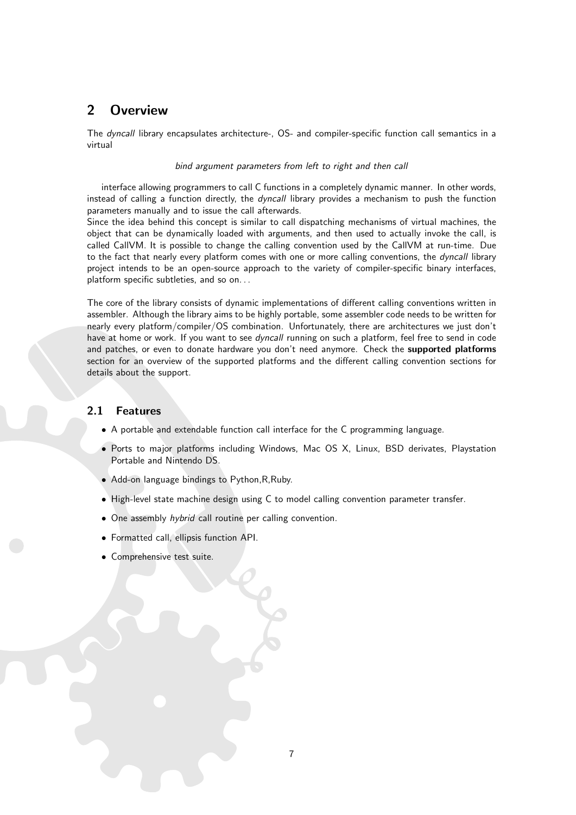# <span id="page-7-0"></span>2 Overview

The dyncall library encapsulates architecture-, OS- and compiler-specific function call semantics in a virtual

#### bind argument parameters from left to right and then call

interface allowing programmers to call C functions in a completely dynamic manner. In other words, instead of calling a function directly, the *dyncall* library provides a mechanism to push the function parameters manually and to issue the call afterwards.

Since the idea behind this concept is similar to call dispatching mechanisms of virtual machines, the object that can be dynamically loaded with arguments, and then used to actually invoke the call, is called CallVM. It is possible to change the calling convention used by the CallVM at run-time. Due to the fact that nearly every platform comes with one or more calling conventions, the *dyncall* library project intends to be an open-source approach to the variety of compiler-specific binary interfaces, platform specific subtleties, and so on...

The core of the library consists of dynamic implementations of different calling conventions written in assembler. Although the library aims to be highly portable, some assembler code needs to be written for nearly every platform/compiler/OS combination. Unfortunately, there are architectures we just don't have at home or work. If you want to see dyncall running on such a platform, feel free to send in code and patches, or even to donate hardware you don't need anymore. Check the supported platforms section for an overview of the supported platforms and the different calling convention sections for details about the support.

# <span id="page-7-1"></span>2.1 Features

- A portable and extendable function call interface for the C programming language.
- Ports to major platforms including Windows, Mac OS X, Linux, BSD derivates, Playstation Portable and Nintendo DS.
- Add-on language bindings to Python,R,Ruby.
- High-level state machine design using C to model calling convention parameter transfer.
- One assembly *hybrid* call routine per calling convention.
- Formatted call, ellipsis function API.
- Comprehensive test suite.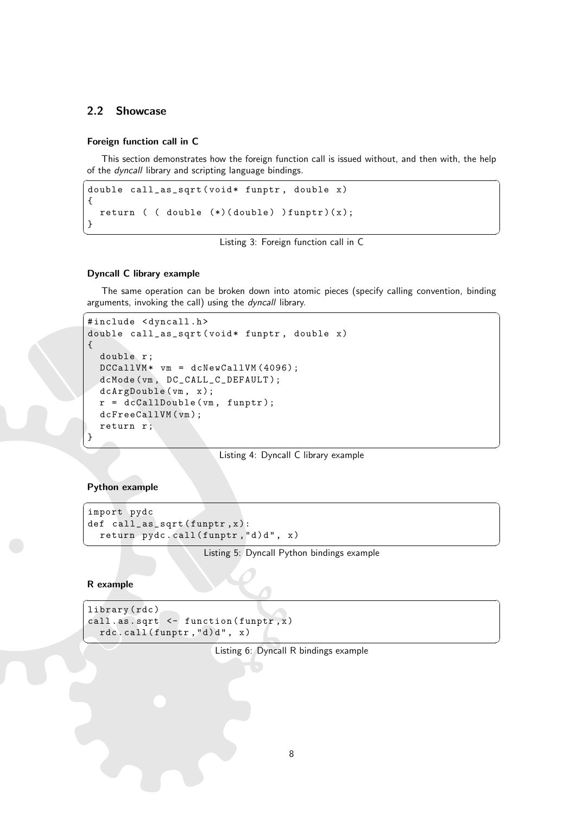# <span id="page-8-0"></span>2.2 Showcase

#### Foreign function call in C

This section demonstrates how the foreign function call is issued without, and then with, the help of the dyncall library and scripting language bindings.

```
\overline{\phantom{a}}double call_as_sqrt ( void * funptr , double x )
{
 return ( ( double (*) (double) ) funptr) (x);
}
```
✝ ✆ Listing 3: Foreign function call in C

#### Dyncall C library example

The same operation can be broken down into atomic pieces (specify calling convention, binding arguments, invoking the call) using the *dyncall* library.  $\sqrt{2}$   $\sqrt{2}$   $\sqrt{2}$   $\sqrt{2}$   $\sqrt{2}$   $\sqrt{2}$   $\sqrt{2}$   $\sqrt{2}$   $\sqrt{2}$   $\sqrt{2}$   $\sqrt{2}$   $\sqrt{2}$   $\sqrt{2}$   $\sqrt{2}$   $\sqrt{2}$   $\sqrt{2}$   $\sqrt{2}$   $\sqrt{2}$   $\sqrt{2}$   $\sqrt{2}$   $\sqrt{2}$   $\sqrt{2}$   $\sqrt{2}$   $\sqrt{2}$   $\sqrt{2}$   $\sqrt{2}$   $\sqrt{2}$   $\sqrt{2$ 

```
#include <dyncall.h>
double call_as_sqrt (void* funptr, double x)
{
  double r:
  DCCallVM* vm = dcNewCallVM (4096);
  dcMode (vm, DC_CALL_C_DEFAULT);
  dcArgDouble (vm, x);
 r = dcCallDouble(vm, funptr);dcFreeCallVM(vm);
  return r;
}
```
✝ ✆ Listing 4: Dyncall C library example

<span id="page-8-3"></span> $\overline{\phantom{a}}$   $\overline{\phantom{a}}$   $\overline{\phantom{a}}$   $\overline{\phantom{a}}$   $\overline{\phantom{a}}$   $\overline{\phantom{a}}$   $\overline{\phantom{a}}$   $\overline{\phantom{a}}$   $\overline{\phantom{a}}$   $\overline{\phantom{a}}$   $\overline{\phantom{a}}$   $\overline{\phantom{a}}$   $\overline{\phantom{a}}$   $\overline{\phantom{a}}$   $\overline{\phantom{a}}$   $\overline{\phantom{a}}$   $\overline{\phantom{a}}$   $\overline{\phantom{a}}$   $\overline{\$ 

#### Python example

```
import pydc
def call_as_sqrt (funptr, x):
  return pydc. call(funptr, "d)d", x)
```
✝ ✆ Listing 5: Dyncall Python bindings example

#### R example

```
library ( rdc )
  call . as . sqrt \leftarrow function (funptr, x)
           rdc. call (funptr, "d)d", x)\left\langle \cdot, \cdot \right\rangle \left\langle \cdot, \cdot \right\rangle \left\langle \cdot, \cdot \right\rangle \left\langle \cdot, \cdot \right\rangle \left\langle \cdot, \cdot \right\rangle \left\langle \cdot, \cdot \right\rangle \left\langle \cdot, \cdot \right\rangle \left\langle \cdot, \cdot \right\rangle \left\langle \cdot, \cdot \right\rangle \left\langle \cdot, \cdot \right\rangle \left\langle \cdot, \cdot \right\rangle \left\langle \cdot, \cdot \right\rangle \left\langle \cdot, \cdot \right\rangle \left\langle \cdot, \cdot \right\r
```
Listing 6: Dyncall R bindings example

 $\overline{a}$   $\overline{b}$   $\overline{c}$   $\overline{d}$   $\overline{d}$   $\overline{d}$   $\overline{d}$   $\overline{d}$   $\overline{d}$   $\overline{d}$   $\overline{d}$   $\overline{d}$   $\overline{d}$   $\overline{d}$   $\overline{d}$   $\overline{d}$   $\overline{d}$   $\overline{d}$   $\overline{d}$   $\overline{d}$   $\overline{d}$   $\overline{d}$   $\overline{d}$   $\overline{d}$   $\overline{$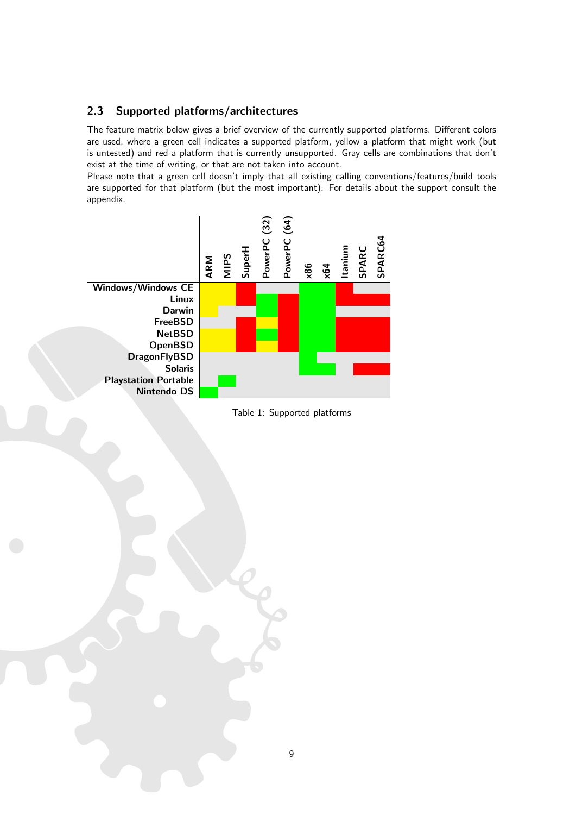# <span id="page-9-0"></span>2.3 Supported platforms/architectures

The feature matrix below gives a brief overview of the currently supported platforms. Different colors are used, where a green cell indicates a supported platform, yellow a platform that might work (but is untested) and red a platform that is currently unsupported. Gray cells are combinations that don't exist at the time of writing, or that are not taken into account.

Please note that a green cell doesn't imply that all existing calling conventions/features/build tools are supported for that platform (but the most important). For details about the support consult the appendix.



<span id="page-9-1"></span>Table 1: Supported platforms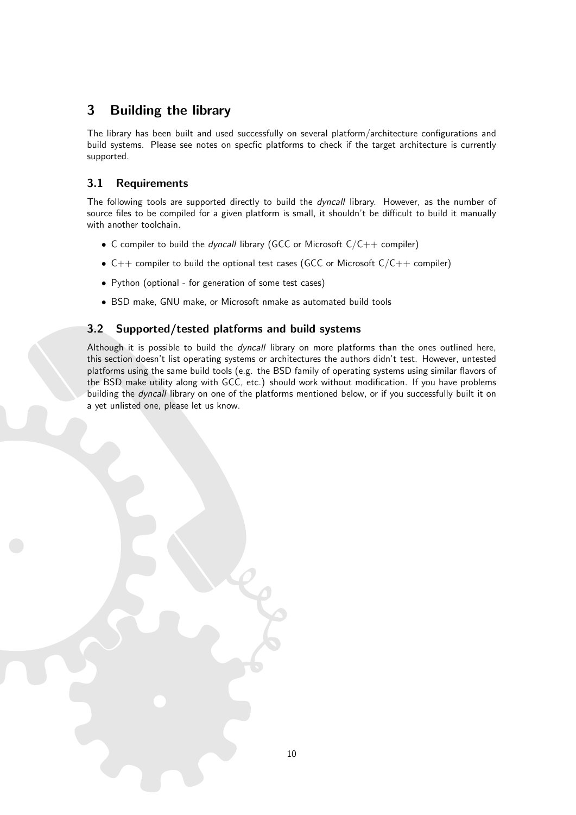# <span id="page-10-0"></span>3 Building the library

The library has been built and used successfully on several platform/architecture configurations and build systems. Please see notes on specfic platforms to check if the target architecture is currently supported.

# <span id="page-10-1"></span>3.1 Requirements

The following tools are supported directly to build the dyncall library. However, as the number of source files to be compiled for a given platform is small, it shouldn't be difficult to build it manually with another toolchain.

- C compiler to build the *dyncall* library (GCC or Microsoft  $C/C++$  compiler)
- $C++$  compiler to build the optional test cases (GCC or Microsoft  $C/C++$  compiler)
- Python (optional for generation of some test cases)
- BSD make, GNU make, or Microsoft nmake as automated build tools

# <span id="page-10-2"></span>3.2 Supported/tested platforms and build systems

Although it is possible to build the *dyncall* library on more platforms than the ones outlined here. this section doesn't list operating systems or architectures the authors didn't test. However, untested platforms using the same build tools (e.g. the BSD family of operating systems using similar flavors of the BSD make utility along with GCC, etc.) should work without modification. If you have problems building the dyncall library on one of the platforms mentioned below, or if you successfully built it on a yet unlisted one, please let us know.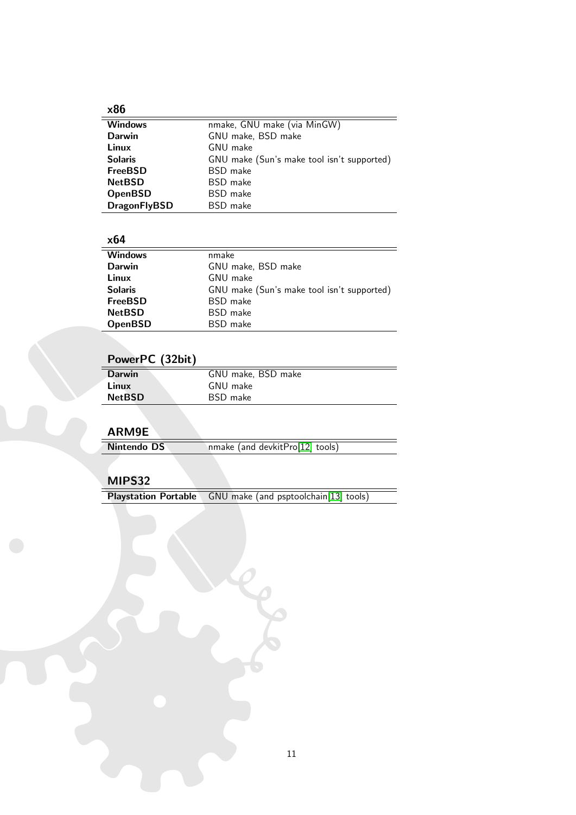# $\frac{\times 86}{2}$

| nmake, GNU make (via MinGW)                |
|--------------------------------------------|
| GNU make, BSD make                         |
| GNU make                                   |
| GNU make (Sun's make tool isn't supported) |
| <b>BSD</b> make                            |
| <b>BSD</b> make                            |
| <b>BSD</b> make                            |
| <b>BSD</b> make                            |
|                                            |

# $\frac{\times 64}{\div \div \times \times 64}$

| .              |                                            |
|----------------|--------------------------------------------|
| <b>Windows</b> | nmake                                      |
| <b>Darwin</b>  | GNU make, BSD make                         |
| Linux          | GNU make                                   |
| <b>Solaris</b> | GNU make (Sun's make tool isn't supported) |
| <b>FreeBSD</b> | <b>BSD</b> make                            |
| <b>NetBSD</b>  | <b>BSD</b> make                            |
| <b>OpenBSD</b> | <b>BSD</b> make                            |

# PowerPC (32bit)

| <b>Darwin</b> | GNU make, BSD make |  |
|---------------|--------------------|--|
| Linux         | GNU make           |  |
| <b>NetBSD</b> | BSD make           |  |
|               |                    |  |

# ARM9E

| ----------- |                                 |
|-------------|---------------------------------|
| Nintendo DS | nmake (and devkitPro[12] tools) |
|             |                                 |

## MIPS32

Playstation Portable GNU make (and psptoolchain[\[13\]](#page-52-2) tools)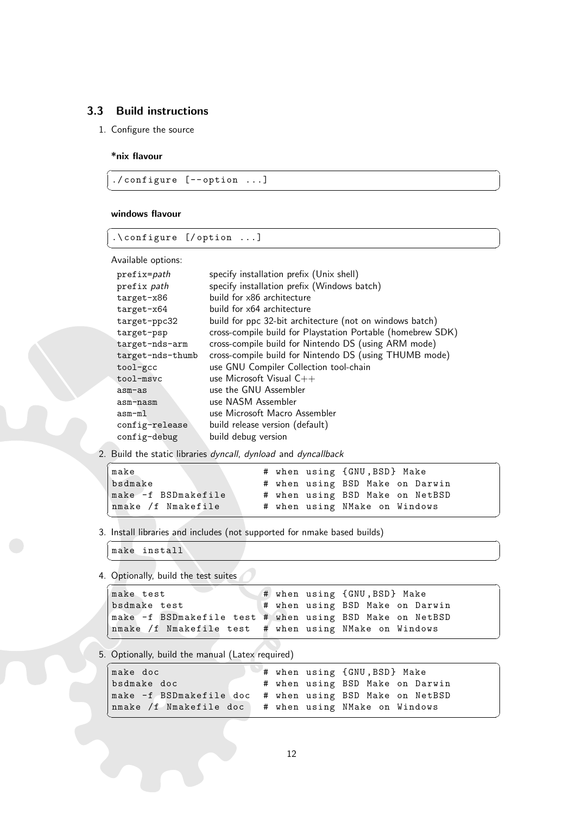# <span id="page-12-0"></span>3.3 Build instructions

1. Configure the source

#### \*nix flavour

./ configure [ - - option ...]

#### windows flavour

.\ configure [/ option ...]  $\overline{\phantom{a}}$   $\overline{\phantom{a}}$   $\overline{\phantom{a}}$   $\overline{\phantom{a}}$   $\overline{\phantom{a}}$   $\overline{\phantom{a}}$   $\overline{\phantom{a}}$   $\overline{\phantom{a}}$   $\overline{\phantom{a}}$   $\overline{\phantom{a}}$   $\overline{\phantom{a}}$   $\overline{\phantom{a}}$   $\overline{\phantom{a}}$   $\overline{\phantom{a}}$   $\overline{\phantom{a}}$   $\overline{\phantom{a}}$   $\overline{\phantom{a}}$   $\overline{\phantom{a}}$   $\overline{\$ 

Available options:

| prefix= <i>path</i> | specify installation prefix (Unix shell)                    |
|---------------------|-------------------------------------------------------------|
| prefix path         | specify installation prefix (Windows batch)                 |
| target-x86          | build for x86 architecture                                  |
| $target-x64$        | build for x64 architecture                                  |
| target-ppc32        | build for ppc 32-bit architecture (not on windows batch)    |
| target-psp          | cross-compile build for Playstation Portable (homebrew SDK) |
| target-nds-arm      | cross-compile build for Nintendo DS (using ARM mode)        |
| target-nds-thumb    | cross-compile build for Nintendo DS (using THUMB mode)      |
| tool-gcc            | use GNU Compiler Collection tool-chain                      |
| tool-msvc           | use Microsoft Visual $C++$                                  |
| asm-as              | use the GNU Assembler                                       |
| asm-nasm            | use NASM Assembler                                          |
| asm-ml              | use Microsoft Macro Assembler                               |
| config-release      | build release version (default)                             |
| config-debug        | build debug version                                         |

 $\sqrt{2}$   $\sqrt{2}$   $\sqrt{2}$   $\sqrt{2}$   $\sqrt{2}$   $\sqrt{2}$   $\sqrt{2}$   $\sqrt{2}$   $\sqrt{2}$   $\sqrt{2}$   $\sqrt{2}$   $\sqrt{2}$   $\sqrt{2}$   $\sqrt{2}$   $\sqrt{2}$   $\sqrt{2}$   $\sqrt{2}$   $\sqrt{2}$   $\sqrt{2}$   $\sqrt{2}$   $\sqrt{2}$   $\sqrt{2}$   $\sqrt{2}$   $\sqrt{2}$   $\sqrt{2}$   $\sqrt{2}$   $\sqrt{2}$   $\sqrt{2$ 

 $\sqrt{2\pi}$   $\sqrt{2\pi}$   $\sqrt{2\pi}$   $\sqrt{2\pi}$   $\sqrt{2\pi}$   $\sqrt{2\pi}$   $\sqrt{2\pi}$   $\sqrt{2\pi}$   $\sqrt{2\pi}$   $\sqrt{2\pi}$   $\sqrt{2\pi}$   $\sqrt{2\pi}$   $\sqrt{2\pi}$   $\sqrt{2\pi}$   $\sqrt{2\pi}$   $\sqrt{2\pi}$   $\sqrt{2\pi}$   $\sqrt{2\pi}$   $\sqrt{2\pi}$   $\sqrt{2\pi}$   $\sqrt{2\pi}$   $\sqrt{2\pi}$ 

 $\sqrt{2}$   $\sqrt{2}$   $\sqrt{2}$   $\sqrt{2}$   $\sqrt{2}$   $\sqrt{2}$   $\sqrt{2}$   $\sqrt{2}$   $\sqrt{2}$   $\sqrt{2}$   $\sqrt{2}$   $\sqrt{2}$   $\sqrt{2}$   $\sqrt{2}$   $\sqrt{2}$   $\sqrt{2}$   $\sqrt{2}$   $\sqrt{2}$   $\sqrt{2}$   $\sqrt{2}$   $\sqrt{2}$   $\sqrt{2}$   $\sqrt{2}$   $\sqrt{2}$   $\sqrt{2}$   $\sqrt{2}$   $\sqrt{2}$   $\sqrt{2$ 

2. Build the static libraries dyncall, dynload and dyncallback

```
\overline{a} \overline{a} \overline{a} \overline{a} \overline{a} \overline{a} \overline{a} \overline{a} \overline{a} \overline{a} \overline{a} \overline{a} \overline{a} \overline{a} \overline{a} \overline{a} \overline{a} \overline{a} \overline{a} \overline{a} \overline{a} \overline{a} \overline{a} \overline{a} \overline{make \# when using {GNU, BSD} Make
bsdmake # when using BSD Make on Darwin
make -f BSDmakefile # when using BSD Make on NetBSD
nmake /f Nmakefile # when using NMake on Windows
✝ ✆
```
✝ ✆

3. Install libraries and includes (not supported for nmake based builds) ✞ ☎

make install

4. Optionally, build the test suites

```
\overline{a} \overline{b} \overline{a} \overline{b} \overline{c} \overline{d} \overline{d} \overline{d} \overline{d} \overline{d} \overline{d} \overline{d} \overline{d} \overline{d} \overline{d} \overline{d} \overline{d} \overline{d} \overline{d} \overline{d} \overline{d} \overline{d} \overline{d} \overline{d} \overline{make test \qquad # when using {GNU,BSD} Make
bsdmake test \qquad # when using BSD Make on Darwin
make -f BSDmakefile test # when using BSD Make on NetBSD
                                       # when using NMake on Windows
✝ ✆
```
5. Optionally, build the manual (Latex required)

| make doc                                                |  | # when using {GNU, BSD} Make    |
|---------------------------------------------------------|--|---------------------------------|
| bsdmake doc                                             |  | # when using BSD Make on Darwin |
| make -f BSDmakefile doc # when using BSD Make on NetBSD |  |                                 |
| nmake /f Nmakefile doc   # when using NMake on Windows  |  |                                 |
|                                                         |  |                                 |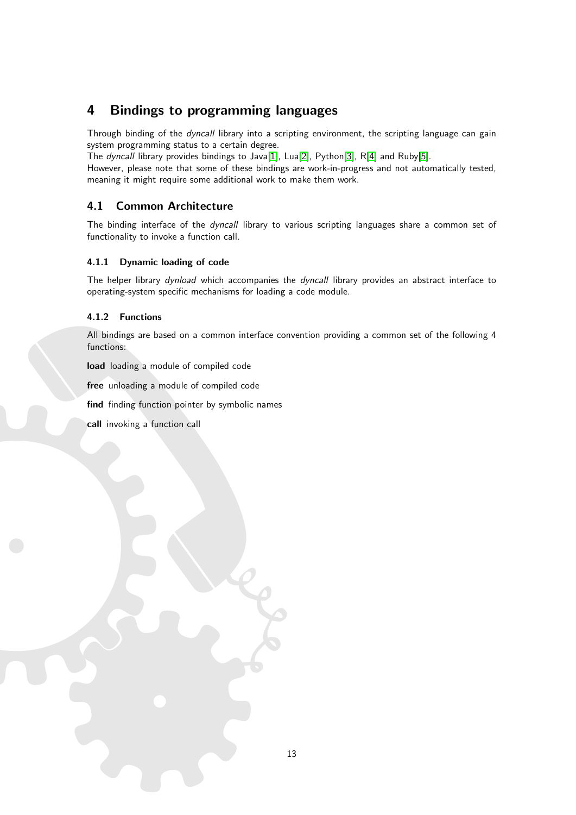# <span id="page-13-0"></span>4 Bindings to programming languages

Through binding of the dyncall library into a scripting environment, the scripting language can gain system programming status to a certain degree.

The dyncall library provides bindings to Java[\[1\]](#page-52-3), Lua[\[2\]](#page-52-4), Python[\[3\]](#page-52-5), R[\[4\]](#page-52-6) and Ruby[\[5\]](#page-52-7).

However, please note that some of these bindings are work-in-progress and not automatically tested, meaning it might require some additional work to make them work.

# <span id="page-13-1"></span>4.1 Common Architecture

The binding interface of the *dyncall* library to various scripting languages share a common set of functionality to invoke a function call.

#### <span id="page-13-2"></span>4.1.1 Dynamic loading of code

The helper library dynload which accompanies the dyncall library provides an abstract interface to operating-system specific mechanisms for loading a code module.

## <span id="page-13-3"></span>4.1.2 Functions

All bindings are based on a common interface convention providing a common set of the following 4 functions:

load loading a module of compiled code

free unloading a module of compiled code

find finding function pointer by symbolic names

call invoking a function call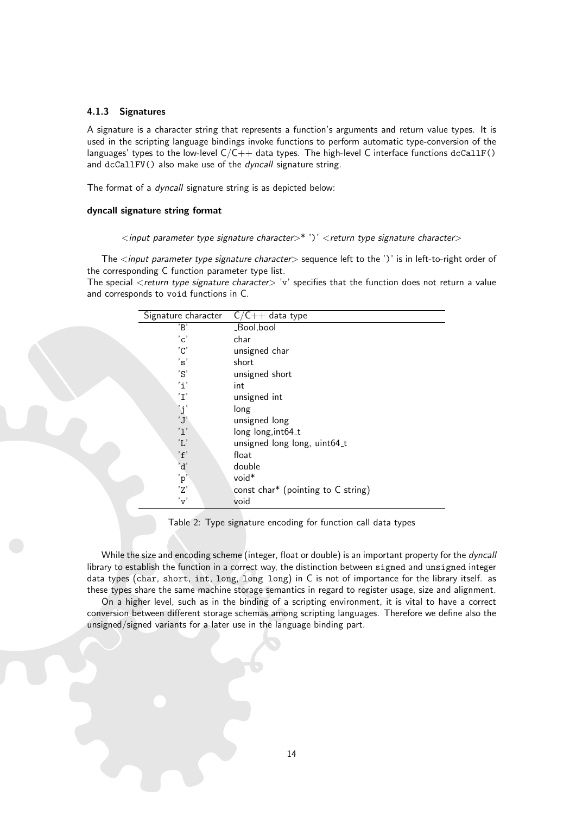#### <span id="page-14-0"></span>4.1.3 Signatures

A signature is a character string that represents a function's arguments and return value types. It is used in the scripting language bindings invoke functions to perform automatic type-conversion of the languages' types to the low-level  $C/C++$  data types. The high-level C interface functions dcCallF() and dcCallFV() also make use of the *dyncall* signature string.

The format of a *dyncall* signature string is as depicted below:

#### dyncall signature string format

## $\langle$ input parameter type signature character $>^*$ ')'  $\langle$ return type signature character $>$

The <input parameter type signature character> sequence left to the ')' is in left-to-right order of the corresponding C function parameter type list.

The special <return type signature character> 'v' specifies that the function does not return a value and corresponds to void functions in C.

| Signature character       | $C/C++$ data type                                |
|---------------------------|--------------------------------------------------|
| 'B'                       | _Bool,bool                                       |
| $^{\prime}$ c $^{\prime}$ | char                                             |
| $^{\prime}$ C $^{\prime}$ | unsigned char                                    |
| 's'                       | short                                            |
| 'S'                       | unsigned short                                   |
| $i^{\prime}$              | int                                              |
| 'I'                       | unsigned int                                     |
| 'j'                       | long                                             |
| 'J'                       | unsigned long                                    |
| '1'                       | long long, int64_t                               |
| 'L'                       | unsigned long long, uint64_t                     |
| 'f'                       | float                                            |
| 'd'                       | double                                           |
| 'p'                       | void <sup>*</sup>                                |
| $\overline{z}$            | const char <sup>*</sup> (pointing to $C$ string) |
| 'v'                       | void                                             |

#### <span id="page-14-1"></span>Table 2: Type signature encoding for function call data types

While the size and encoding scheme (integer, float or double) is an important property for the dyncall library to establish the function in a correct way, the distinction between signed and unsigned integer data types (char, short, int, long, long long) in C is not of importance for the library itself. as these types share the same machine storage semantics in regard to register usage, size and alignment.

On a higher level, such as in the binding of a scripting environment, it is vital to have a correct conversion between different storage schemas among scripting languages. Therefore we define also the unsigned/signed variants for a later use in the language binding part.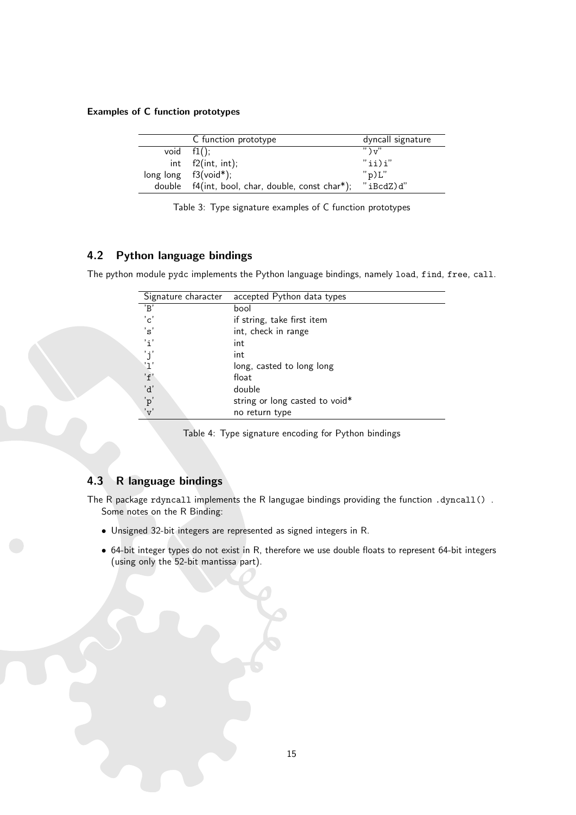# Examples of C function prototypes

| C function prototype                             | dyncall signature    |
|--------------------------------------------------|----------------------|
| void $f1()$ :                                    | $"$ ) $\mathbf{v}$ " |
| int f2(int, int);                                | $"ii)$ i"            |
| long $long$ $f3(void*)$ ;                        | "p)L"                |
| double f4(int, bool, char, double, const char*); | "iBcdZ)d"            |

<span id="page-15-2"></span>

|  |  |  | Table 3: Type signature examples of C function prototypes |
|--|--|--|-----------------------------------------------------------|
|  |  |  |                                                           |

# <span id="page-15-0"></span>4.2 Python language bindings

The python module pydc implements the Python language bindings, namely load, find, free, call.

| Signature character       | accepted Python data types     |
|---------------------------|--------------------------------|
| 'R'                       | bool                           |
| $^{\prime}$ c $^{\prime}$ | if string, take first item     |
| ່′ຣ່                      | int, check in range            |
| 'i'                       | int                            |
| 'j'                       | int                            |
| '1'                       | long, casted to long long      |
| 'f'                       | float                          |
| 'd'                       | double                         |
| 'p'                       | string or long casted to void* |
| 'v'                       | no return type                 |

<span id="page-15-3"></span>Table 4: Type signature encoding for Python bindings

# <span id="page-15-1"></span>4.3 R language bindings

The R package rdyncall implements the R langugae bindings providing the function .dyncall(). Some notes on the R Binding:

- Unsigned 32-bit integers are represented as signed integers in R.
- 64-bit integer types do not exist in R, therefore we use double floats to represent 64-bit integers (using only the 52-bit mantissa part).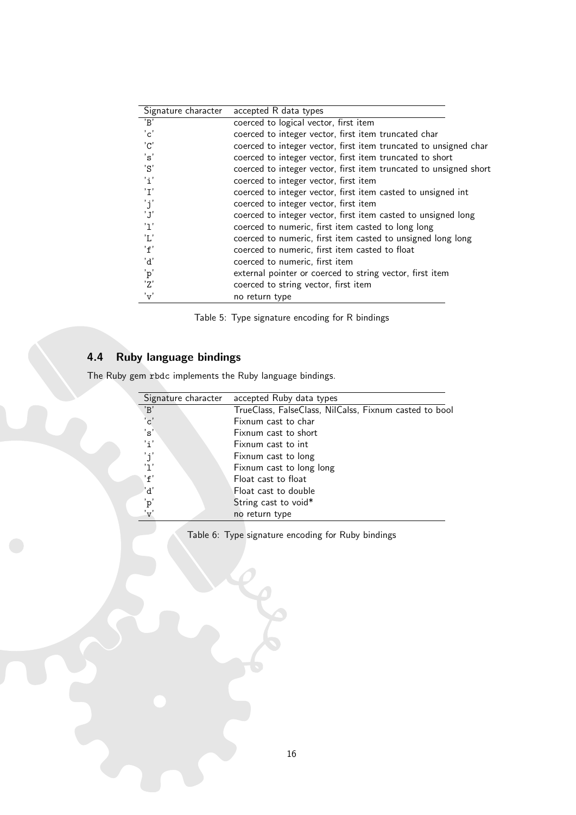| Signature character       | accepted R data types                                             |
|---------------------------|-------------------------------------------------------------------|
| B                         | coerced to logical vector, first item                             |
| $^{\prime}$ c $^{\prime}$ | coerced to integer vector, first item truncated char              |
| $^{\prime}$ C $^{\prime}$ | coerced to integer vector, first item truncated to unsigned char  |
| 'ຣ'                       | coerced to integer vector, first item truncated to short          |
| 'S'                       | coerced to integer vector, first item truncated to unsigned short |
| 'i'                       | coerced to integer vector, first item                             |
| 'I'                       | coerced to integer vector, first item casted to unsigned int      |
| 'j'                       | coerced to integer vector, first item                             |
| 'J'                       | coerced to integer vector, first item casted to unsigned long     |
| 'ן '                      | coerced to numeric, first item casted to long long                |
| 'L'                       | coerced to numeric, first item casted to unsigned long long       |
| 'f'                       | coerced to numeric, first item casted to float                    |
| 'd'                       | coerced to numeric, first item                                    |
| 'p'                       | external pointer or coerced to string vector, first item          |
| 'Z'                       | coerced to string vector, first item                              |
| $'_{\rm V}$               | no return type                                                    |

<span id="page-16-1"></span>Table 5: Type signature encoding for R bindings

# <span id="page-16-0"></span>4.4 Ruby language bindings

The Ruby gem rbdc implements the Ruby language bindings.

| Signature character       | accepted Ruby data types                               |
|---------------------------|--------------------------------------------------------|
| B                         | TrueClass, FalseClass, NilCalss, Fixnum casted to bool |
| $^{\prime}$ c $^{\prime}$ | Fixnum cast to char                                    |
| 's'                       | Fixnum cast to short                                   |
| 'i'                       | Fixnum cast to int                                     |
| 'j'                       | Fixnum cast to long                                    |
| '1'                       | Fixnum cast to long long                               |
| 'f'                       | Float cast to float                                    |
| 'd'                       | Float cast to double                                   |
| 'p'                       | String cast to void*                                   |
| 'v'                       | no return type                                         |
|                           |                                                        |

<span id="page-16-2"></span>Table 6: Type signature encoding for Ruby bindings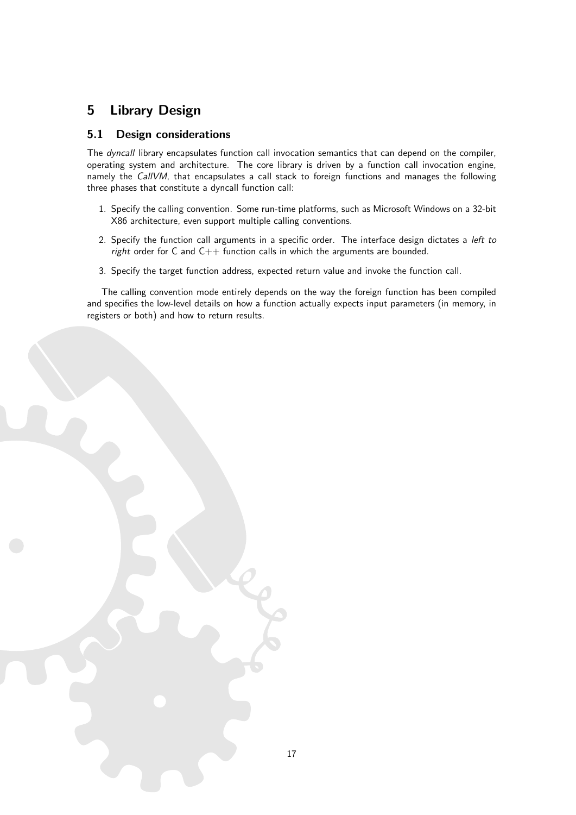# <span id="page-17-0"></span>5 Library Design

# <span id="page-17-1"></span>5.1 Design considerations

The dyncall library encapsulates function call invocation semantics that can depend on the compiler, operating system and architecture. The core library is driven by a function call invocation engine, namely the CallVM, that encapsulates a call stack to foreign functions and manages the following three phases that constitute a dyncall function call:

- 1. Specify the calling convention. Some run-time platforms, such as Microsoft Windows on a 32-bit X86 architecture, even support multiple calling conventions.
- 2. Specify the function call arguments in a specific order. The interface design dictates a left to right order for C and  $C_{++}$  function calls in which the arguments are bounded.
- 3. Specify the target function address, expected return value and invoke the function call.

The calling convention mode entirely depends on the way the foreign function has been compiled and specifies the low-level details on how a function actually expects input parameters (in memory, in registers or both) and how to return results.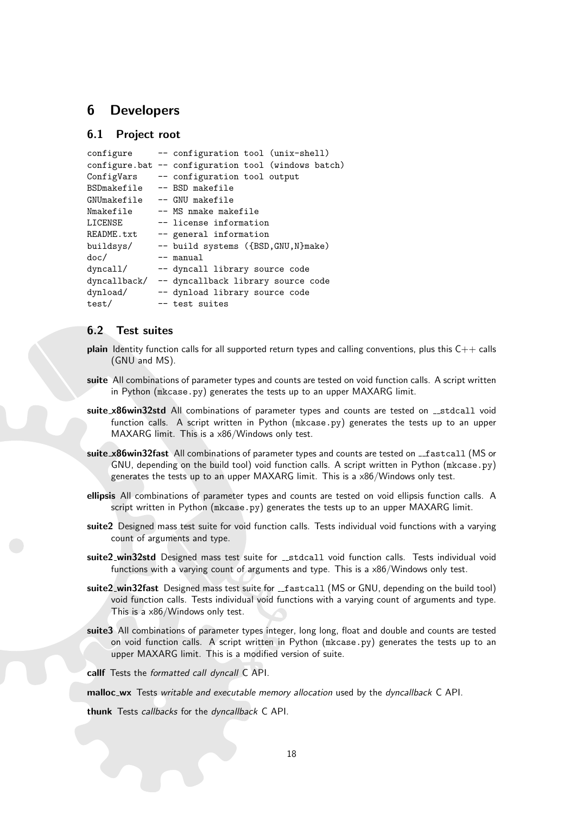# <span id="page-18-0"></span>6 Developers

# <span id="page-18-1"></span>6.1 Project root

| configure    | -- configuration tool (unix-shell)                  |  |  |  |  |
|--------------|-----------------------------------------------------|--|--|--|--|
|              | configure.bat -- configuration tool (windows batch) |  |  |  |  |
| ConfigVars   | -- configuration tool output                        |  |  |  |  |
| BSDmakefile  | -- BSD makefile                                     |  |  |  |  |
| GNUmakefile  | -- GNU makefile                                     |  |  |  |  |
| Nmakefile    | -- MS nmake makefile                                |  |  |  |  |
| LICENSE      | -- license information                              |  |  |  |  |
| README.txt   | -- general information                              |  |  |  |  |
| buildsys/    | -- build systems ({BSD, GNU, N}make)                |  |  |  |  |
| doc/         | -- manual                                           |  |  |  |  |
| dyncal1/     | -- dyncall library source code                      |  |  |  |  |
| dyncallback/ | -- dyncallback library source code                  |  |  |  |  |
| dynload/     | -- dynload library source code                      |  |  |  |  |
| test/        | -- test suites                                      |  |  |  |  |

## <span id="page-18-2"></span>6.2 Test suites

- **plain** Identity function calls for all supported return types and calling conventions, plus this  $C++$  calls (GNU and MS).
- suite All combinations of parameter types and counts are tested on void function calls. A script written in Python (mkcase.py) generates the tests up to an upper MAXARG limit.
- suite x86win32std All combinations of parameter types and counts are tested on \_\_stdcall void function calls. A script written in Python (mkcase.py) generates the tests up to an upper MAXARG limit. This is a x86/Windows only test.
- suite\_x86win32fast All combinations of parameter types and counts are tested on \_fastcall (MS or GNU, depending on the build tool) void function calls. A script written in Python (mkcase.py) generates the tests up to an upper MAXARG limit. This is a x86/Windows only test.
- ellipsis All combinations of parameter types and counts are tested on void ellipsis function calls. A script written in Python (mkcase.py) generates the tests up to an upper MAXARG limit.
- suite2 Designed mass test suite for void function calls. Tests individual void functions with a varying count of arguments and type.
- suite2\_win32std Designed mass test suite for \_\_stdcall void function calls. Tests individual void functions with a varying count of arguments and type. This is a x86/Windows only test.
- suite2\_win32fast Designed mass test suite for \_\_fastcall (MS or GNU, depending on the build tool) void function calls. Tests individual void functions with a varying count of arguments and type. This is a x86/Windows only test.
- suite3 All combinations of parameter types integer, long long, float and double and counts are tested on void function calls. A script written in Python (mkcase.py) generates the tests up to an upper MAXARG limit. This is a modified version of suite.

callf Tests the formatted call dyncall C API.

malloc\_wx Tests writable and executable memory allocation used by the dyncallback C API.

thunk Tests callbacks for the dyncallback C API.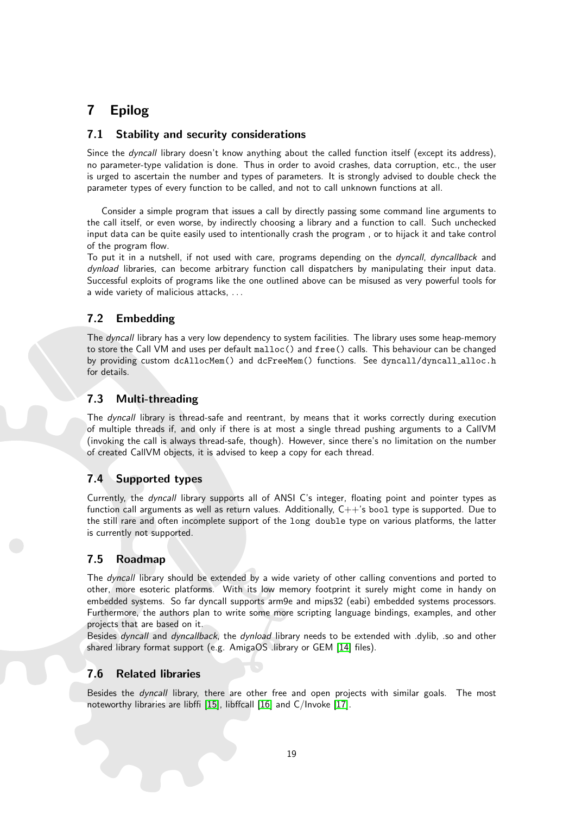# <span id="page-19-0"></span>7 Epilog

# <span id="page-19-1"></span>7.1 Stability and security considerations

Since the *dyncall* library doesn't know anything about the called function itself (except its address), no parameter-type validation is done. Thus in order to avoid crashes, data corruption, etc., the user is urged to ascertain the number and types of parameters. It is strongly advised to double check the parameter types of every function to be called, and not to call unknown functions at all.

Consider a simple program that issues a call by directly passing some command line arguments to the call itself, or even worse, by indirectly choosing a library and a function to call. Such unchecked input data can be quite easily used to intentionally crash the program , or to hijack it and take control of the program flow.

To put it in a nutshell, if not used with care, programs depending on the dyncall, dyncallback and dynload libraries, can become arbitrary function call dispatchers by manipulating their input data. Successful exploits of programs like the one outlined above can be misused as very powerful tools for a wide variety of malicious attacks, . . .

# <span id="page-19-2"></span>7.2 Embedding

The dyncall library has a very low dependency to system facilities. The library uses some heap-memory to store the Call VM and uses per default malloc() and free() calls. This behaviour can be changed by providing custom dcAllocMem() and dcFreeMem() functions. See dyncall/dyncall alloc.h for details.

# <span id="page-19-3"></span>7.3 Multi-threading

The dyncall library is thread-safe and reentrant, by means that it works correctly during execution of multiple threads if, and only if there is at most a single thread pushing arguments to a CallVM (invoking the call is always thread-safe, though). However, since there's no limitation on the number of created CallVM objects, it is advised to keep a copy for each thread.

# <span id="page-19-4"></span>7.4 Supported types

Currently, the dyncall library supports all of ANSI C's integer, floating point and pointer types as function call arguments as well as return values. Additionally,  $C++$ 's bool type is supported. Due to the still rare and often incomplete support of the long double type on various platforms, the latter is currently not supported.

# <span id="page-19-5"></span>7.5 Roadmap

The *dyncall* library should be extended by a wide variety of other calling conventions and ported to other, more esoteric platforms. With its low memory footprint it surely might come in handy on embedded systems. So far dyncall supports arm9e and mips32 (eabi) embedded systems processors. Furthermore, the authors plan to write some more scripting language bindings, examples, and other projects that are based on it.

Besides *dyncall* and *dyncallback*, the *dynload* library needs to be extended with .dylib, .so and other shared library format support (e.g. AmigaOS .library or GEM [\[14\]](#page-52-8) files).

# <span id="page-19-6"></span>7.6 Related libraries

Besides the *dyncall* library, there are other free and open projects with similar goals. The most noteworthy libraries are libffi [\[15\]](#page-52-9), libffcall [\[16\]](#page-52-10) and C/Invoke [\[17\]](#page-52-11).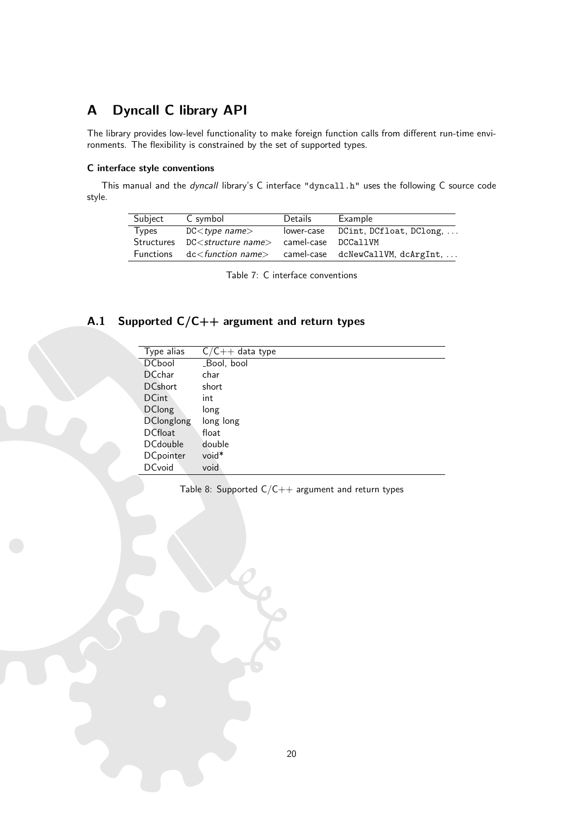# <span id="page-20-0"></span>A Dyncall C library API

The library provides low-level functionality to make foreign function calls from different run-time environments. The flexibility is constrained by the set of supported types.

#### C interface style conventions

This manual and the dyncall library's C interface "dyncall.h" uses the following C source code style.

| Subject | C symbol                                                          | Details | Example                                                                       |
|---------|-------------------------------------------------------------------|---------|-------------------------------------------------------------------------------|
| Types   | DC < type name>                                                   |         | lower-case DCint, DCfloat, DClong,                                            |
|         | Structures DC <structure name=""> camel-case DCCallVM</structure> |         |                                                                               |
|         |                                                                   |         | Functions dc <function name=""> camel-case dcNewCallVM, dcArgInt, </function> |

<span id="page-20-2"></span>Table 7: C interface conventions

# <span id="page-20-1"></span>A.1 Supported C/C++ argument and return types

| Type alias        | $C/C++$ data type |
|-------------------|-------------------|
| <b>DCbool</b>     | _Bool, bool       |
| <b>DCchar</b>     | char              |
| <b>DCshort</b>    | short             |
| <b>DCint</b>      | int               |
| <b>DClong</b>     | long              |
| <b>DClonglong</b> | long long         |
| <b>DCfloat</b>    | float             |
| <b>DCdouble</b>   | double            |
| <b>DCpointer</b>  | void*             |
| <b>DCvoid</b>     | void              |

<span id="page-20-3"></span>Table 8: Supported  $C/C++$  argument and return types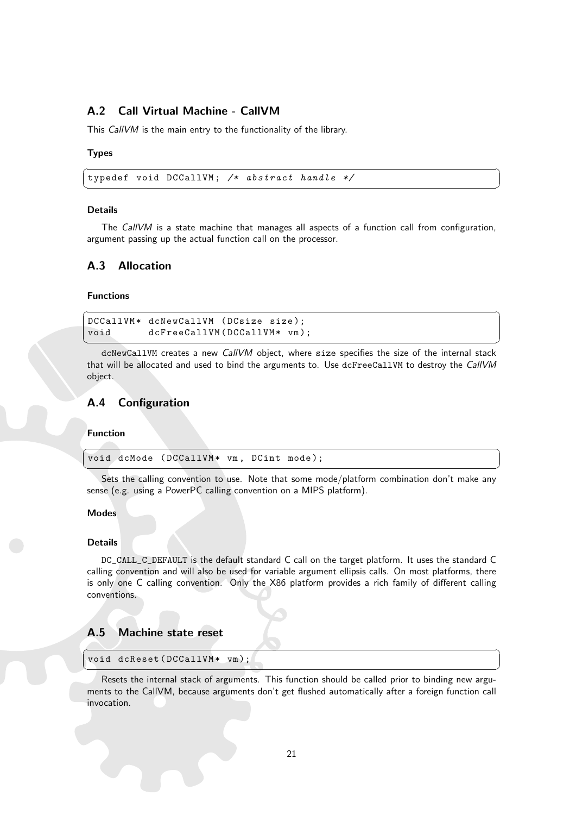# <span id="page-21-0"></span>A.2 Call Virtual Machine - CallVM

This CallVM is the main entry to the functionality of the library.

#### Types

 $\overline{a}$   $\overline{b}$   $\overline{a}$   $\overline{b}$   $\overline{c}$   $\overline{d}$   $\overline{d}$   $\overline{d}$   $\overline{d}$   $\overline{d}$   $\overline{d}$   $\overline{d}$   $\overline{d}$   $\overline{d}$   $\overline{d}$   $\overline{d}$   $\overline{d}$   $\overline{d}$   $\overline{d}$   $\overline{d}$   $\overline{d}$   $\overline{d}$   $\overline{d}$   $\overline{d}$   $\overline{$ typedef void DCCallVM ; /\* abstract handle \*/

#### Details

The CallVM is a state machine that manages all aspects of a function call from configuration, argument passing up the actual function call on the processor.

✝ ✆

#### <span id="page-21-1"></span>A.3 Allocation

#### Functions

```
\overline{a} \overline{b} \overline{a} \overline{b} \overline{c} \overline{d} \overline{d} \overline{d} \overline{d} \overline{d} \overline{d} \overline{d} \overline{d} \overline{d} \overline{d} \overline{d} \overline{d} \overline{d} \overline{d} \overline{d} \overline{d} \overline{d} \overline{d} \overline{d} \overline{DCCallVM* dcNewCallVM (DCsize size);
 void dcFreeCallVM (DCCallVM * vm);
```
dcNewCallVM creates a new CallVM object, where size specifies the size of the internal stack that will be allocated and used to bind the arguments to. Use dcFreeCallVM to destroy the CallVM object.

 $\qquad \qquad \blacksquare$ 

## <span id="page-21-2"></span>A.4 Configuration

#### Function

 $\overline{a}$   $\overline{b}$   $\overline{c}$   $\overline{d}$   $\overline{d}$   $\overline{d}$   $\overline{d}$   $\overline{d}$   $\overline{d}$   $\overline{d}$   $\overline{d}$   $\overline{d}$   $\overline{d}$   $\overline{d}$   $\overline{d}$   $\overline{d}$   $\overline{d}$   $\overline{d}$   $\overline{d}$   $\overline{d}$   $\overline{d}$   $\overline{d}$   $\overline{d}$   $\overline{d}$   $\overline{$ void dcMode (DCCallVM\* vm, DCint mode);

✝ ✆ Sets the calling convention to use. Note that some mode/platform combination don't make any sense (e.g. using a PowerPC calling convention on a MIPS platform).

#### Modes

#### Details

DC\_CALL\_C\_DEFAULT is the default standard C call on the target platform. It uses the standard C calling convention and will also be used for variable argument ellipsis calls. On most platforms, there is only one C calling convention. Only the X86 platform provides a rich family of different calling conventions.

#### <span id="page-21-3"></span>A.5 Machine state reset

#### ✞ ☎ void dcReset (DCCallVM\* vm);

Resets the internal stack of arguments. This function should be called prior to binding new arguments to the CallVM, because arguments don't get flushed automatically after a foreign function call invocation.

✝ ✆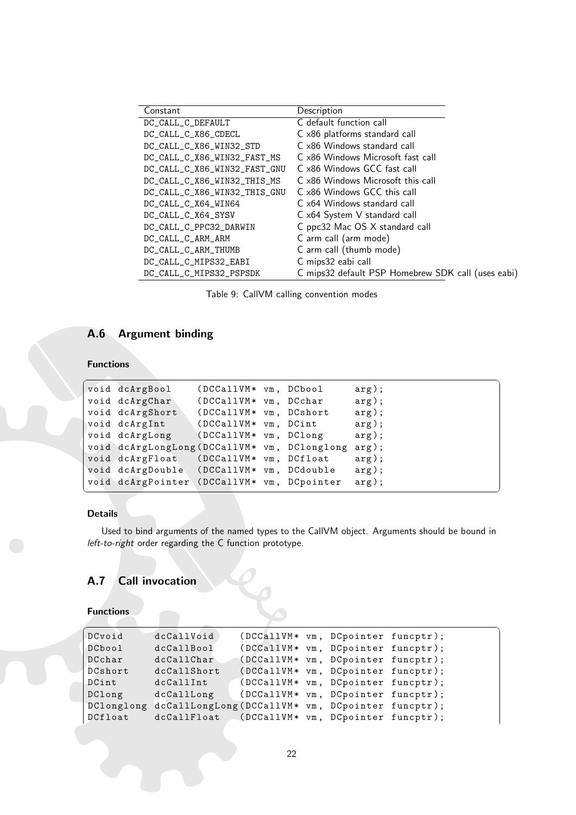| Constant                     | Description                                        |
|------------------------------|----------------------------------------------------|
| DC_CALL_C_DEFAULT            | C default function call                            |
| DC_CALL_C_X86_CDECL          | C x86 platforms standard call                      |
| DC_CALL_C_X86_WIN32_STD      | C x86 Windows standard call                        |
| DC_CALL_C_X86_WIN32_FAST_MS  | C x86 Windows Microsoft fast call                  |
| DC_CALL_C_X86_WIN32_FAST_GNU | C x86 Windows GCC fast call                        |
| DC_CALL_C_X86_WIN32_THIS_MS  | C x86 Windows Microsoft this call                  |
| DC_CALL_C_X86_WIN32_THIS_GNU | C x86 Windows GCC this call                        |
| DC_CALL_C_X64_WIN64          | C x64 Windows standard call                        |
| DC_CALL_C_X64_SYSV           | C x64 System V standard call                       |
| DC_CALL_C_PPC32_DARWIN       | C ppc32 Mac OS X standard call                     |
| DC_CALL_C_ARM_ARM            | C arm call (arm mode)                              |
| DC_CALL_C_ARM_THUMB          | C arm call (thumb mode)                            |
| DC_CALL_C_MIPS32_EABI        | C mips32 eabi call                                 |
| DC_CALL_C_MIPS32_PSPSDK      | C mips32 default PSP Homebrew SDK call (uses eabi) |

<span id="page-22-2"></span>Table 9: CallVM calling convention modes

# <span id="page-22-0"></span>A.6 Argument binding

# Functions

| void dcArgBool                               | (DCCallVM* vm, DCbool  |  | arg); |
|----------------------------------------------|------------------------|--|-------|
| void dcArgChar                               | (DCCallVM* vm, DCchar  |  | arg); |
| void dcArgShort                              | (DCCallVM* vm, DCshort |  | arg); |
| void dcArgInt                                | (DCCallVM* vm, DCint)  |  | arg); |
| void dcArgLong                               | (DCCallVM* vm, DClong  |  | arg); |
| void dcArgLongLong (DCCallVM* vm, DClonglong |                        |  | arg); |
| void dcArgFloat (DCCallVM* vm, DCfloat       |                        |  | arg); |
| void dcArgDouble (DCCallVM* vm, DCdouble     |                        |  | arg); |
| void dcArgPointer (DCCallVM* vm, DCpointer   |                        |  | arg); |
|                                              |                        |  |       |

## Details

Used to bind arguments of the named types to the CallVM object. Arguments should be bound in left-to-right order regarding the C function prototype.

# <span id="page-22-1"></span>A.7 Call invocation

# **Functions**

| DCvoid  | dcCallVoid                                                   | (DCCallVM* vm, DCpointer funcptr); |  |  |
|---------|--------------------------------------------------------------|------------------------------------|--|--|
| DCbool  | dcCallBool                                                   | (DCCallVM* vm, DCpointer funcptr); |  |  |
| DCchar  | dcCallChar                                                   | (DCCallVM* vm, DCpointer funcptr); |  |  |
| DCshort | dcCallShort                                                  | (DCCallVM* vm, DCpointer funcptr); |  |  |
| DCint   | dcCallInt                                                    | (DCCallVM* vm, DCpointer funcptr); |  |  |
| DClong  | dcCallLong                                                   | (DCCallVM* vm, DCpointer funcptr); |  |  |
|         | DClonglong dcCallLongLong (DCCallVM* vm, DCpointer funcptr); |                                    |  |  |
| DCfloat | dcCallFloat (DCCallVM* vm, DCpointer funcptr);               |                                    |  |  |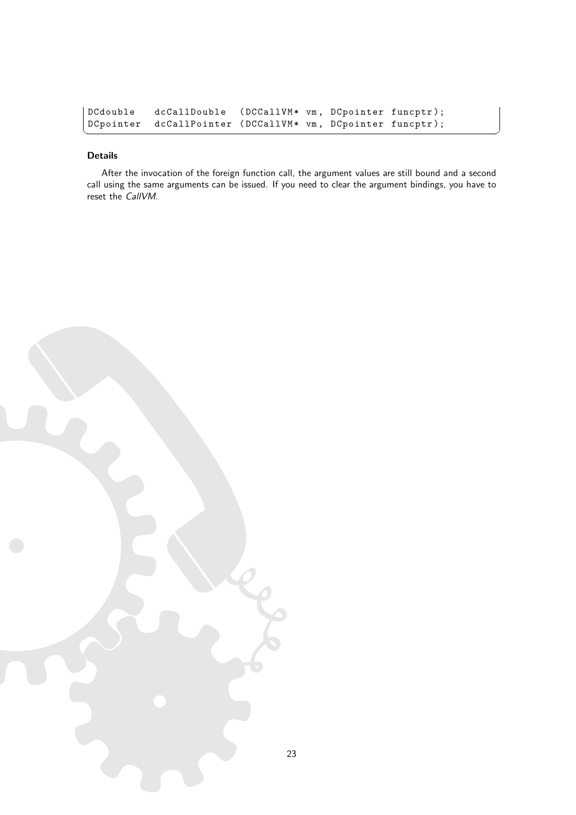| DCdouble | dcCallDouble (DCCallVM* vm, DCpointer funcptr);            |  |  |
|----------|------------------------------------------------------------|--|--|
|          | DCpointer dcCallPointer (DCCallVM* vm, DCpointer funcptr); |  |  |

#### Details

After the invocation of the foreign function call, the argument values are still bound and a second call using the same arguments can be issued. If you need to clear the argument bindings, you have to reset the CallVM.

✝ ✆

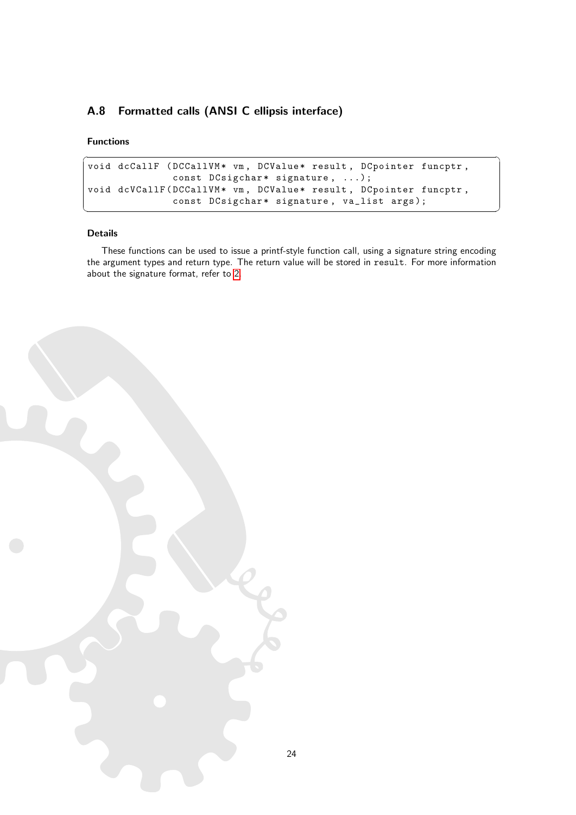# <span id="page-24-0"></span>A.8 Formatted calls (ANSI C ellipsis interface)

#### Functions

```
\overline{\phantom{a}}void dcCallF (DCCallVM* vm, DCValue* result, DCpointer funcptr,
         const DCsigchar* signature, ...);
void dcVCallF (DCCallVM* vm, DCValue* result, DCpointer funcptr,
         const DCsigchar* signature, va_list args);
✝ ✆
```
#### Details

These functions can be used to issue a printf-style function call, using a signature string encoding the argument types and return type. The return value will be stored in result. For more information about the signature format, refer to [2.](#page-14-1)

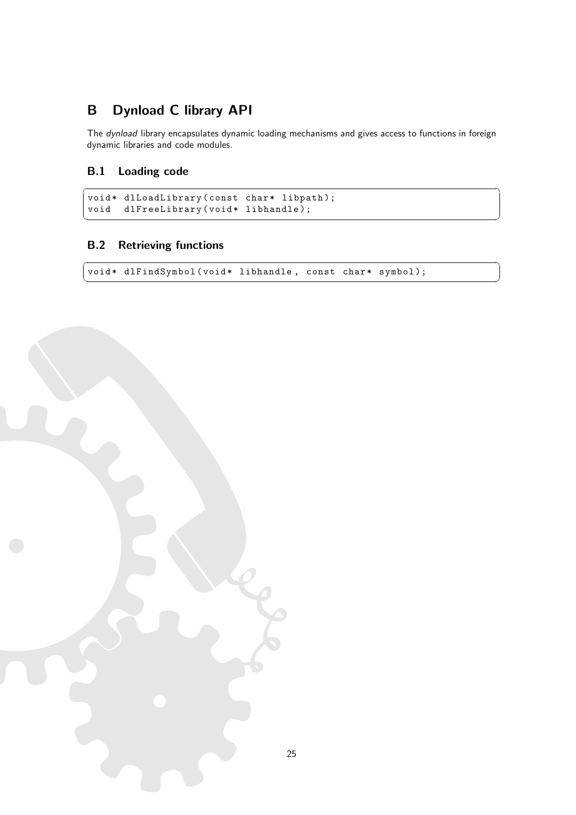# <span id="page-25-0"></span>B Dynload C library API

The dynload library encapsulates dynamic loading mechanisms and gives access to functions in foreign dynamic libraries and code modules.

✝ ✆

# <span id="page-25-1"></span>B.1 Loading code

```
\overline{\phantom{a}}void* dlLoadLibrary (const char* libpath);
void dlFreeLibrary (void* libhandle);
```
# <span id="page-25-2"></span>B.2 Retrieving functions

 $\sqrt{2}$   $\sqrt{2}$   $\sqrt{2}$   $\sqrt{2}$   $\sqrt{2}$   $\sqrt{2}$   $\sqrt{2}$   $\sqrt{2}$   $\sqrt{2}$   $\sqrt{2}$   $\sqrt{2}$   $\sqrt{2}$   $\sqrt{2}$   $\sqrt{2}$   $\sqrt{2}$   $\sqrt{2}$   $\sqrt{2}$   $\sqrt{2}$   $\sqrt{2}$   $\sqrt{2}$   $\sqrt{2}$   $\sqrt{2}$   $\sqrt{2}$   $\sqrt{2}$   $\sqrt{2}$   $\sqrt{2}$   $\sqrt{2}$   $\sqrt{2$ void\* dlFindSymbol(void\* libhandle, const char\* symbol); ✝ ✆

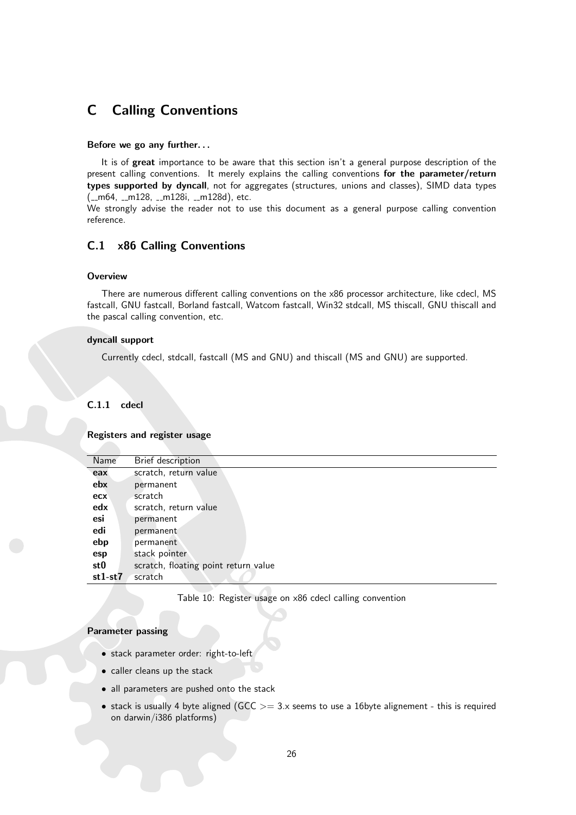# <span id="page-26-0"></span>C Calling Conventions

#### Before we go any further. . .

It is of great importance to be aware that this section isn't a general purpose description of the present calling conventions. It merely explains the calling conventions for the parameter/return types supported by dyncall, not for aggregates (structures, unions and classes), SIMD data types  $(\text{--}m64, \text{--}m128, \text{--}m128i, \text{--}m128d)$ , etc.

We strongly advise the reader not to use this document as a general purpose calling convention reference.

# <span id="page-26-1"></span>C.1 x86 Calling Conventions

#### **Overview**

There are numerous different calling conventions on the x86 processor architecture, like cdecl, MS fastcall, GNU fastcall, Borland fastcall, Watcom fastcall, Win32 stdcall, MS thiscall, GNU thiscall and the pascal calling convention, etc.

#### dyncall support

Currently cdecl, stdcall, fastcall (MS and GNU) and thiscall (MS and GNU) are supported.

## <span id="page-26-2"></span>C.1.1 cdecl

#### Registers and register usage

| Name      | Brief description                    |
|-----------|--------------------------------------|
| eax       | scratch, return value                |
| ebx       | permanent                            |
| ecx       | scratch                              |
| edx       | scratch, return value                |
| esi       | permanent                            |
| edi       | permanent                            |
| ebp       | permanent                            |
| esp       | stack pointer                        |
| st0       | scratch, floating point return value |
| $st1-st7$ | scratch                              |
|           |                                      |

<span id="page-26-3"></span>Table 10: Register usage on x86 cdecl calling convention

#### Parameter passing

- stack parameter order: right-to-left
- caller cleans up the stack
- all parameters are pushed onto the stack
- stack is usually 4 byte aligned ( $GCC >= 3.x$  seems to use a 16byte alignement this is required on darwin/i386 platforms)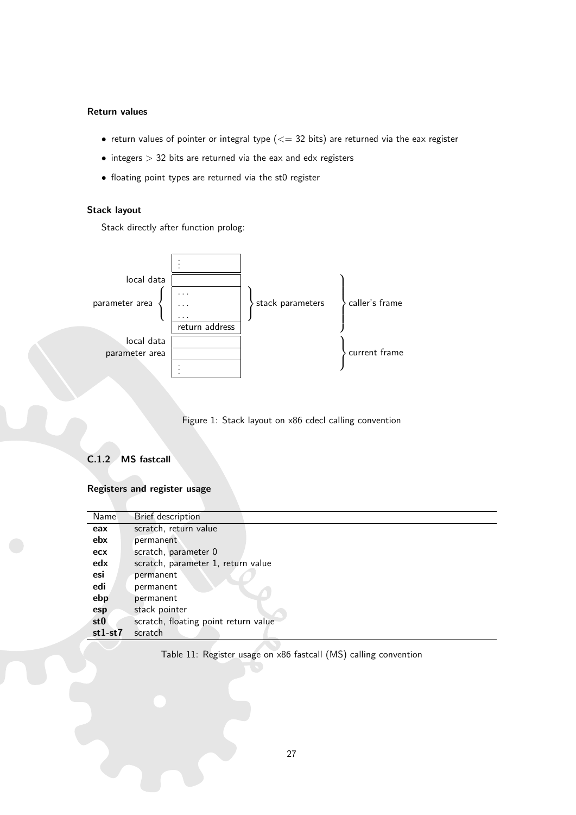## Return values

- return values of pointer or integral type  $(<= 32$  bits) are returned via the eax register
- $\bullet$  integers  $> 32$  bits are returned via the eax and edx registers
- floating point types are returned via the st0 register

## Stack layout

Stack directly after function prolog:



<span id="page-27-2"></span>Figure 1: Stack layout on x86 cdecl calling convention

## <span id="page-27-0"></span>C.1.2 MS fastcall

#### Registers and register usage

| Name            | Brief description                    |
|-----------------|--------------------------------------|
| eax             | scratch, return value                |
| ebx             | permanent                            |
| ecx             | scratch, parameter 0                 |
| edx             | scratch, parameter 1, return value   |
| esi             | permanent                            |
| edi             | permanent                            |
| ebp             | permanent                            |
| esp             | stack pointer                        |
| st <sub>0</sub> | scratch, floating point return value |
| $st1-st7$       | scratch                              |

<span id="page-27-1"></span>Table 11: Register usage on x86 fastcall (MS) calling convention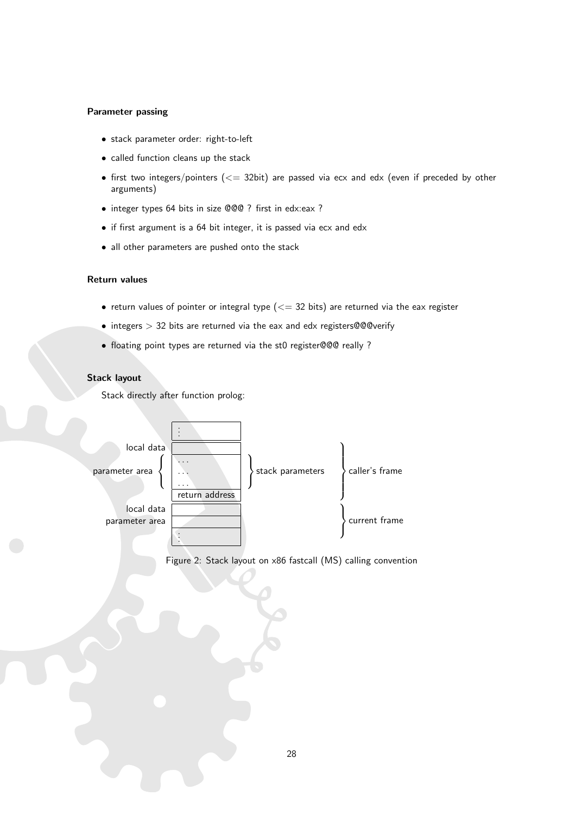#### Parameter passing

- stack parameter order: right-to-left
- called function cleans up the stack
- first two integers/pointers  $(<= 32$ bit) are passed via ecx and edx (even if preceded by other arguments)
- integer types 64 bits in size @@@ ? first in edx:eax ?
- if first argument is a 64 bit integer, it is passed via ecx and edx
- all other parameters are pushed onto the stack

#### Return values

- return values of pointer or integral type  $(<= 32$  bits) are returned via the eax register
- integers > 32 bits are returned via the eax and edx registers@@@verify
- floating point types are returned via the st0 register@@@ really ?

#### Stack layout

Stack directly after function prolog:



<span id="page-28-0"></span>Figure 2: Stack layout on x86 fastcall (MS) calling convention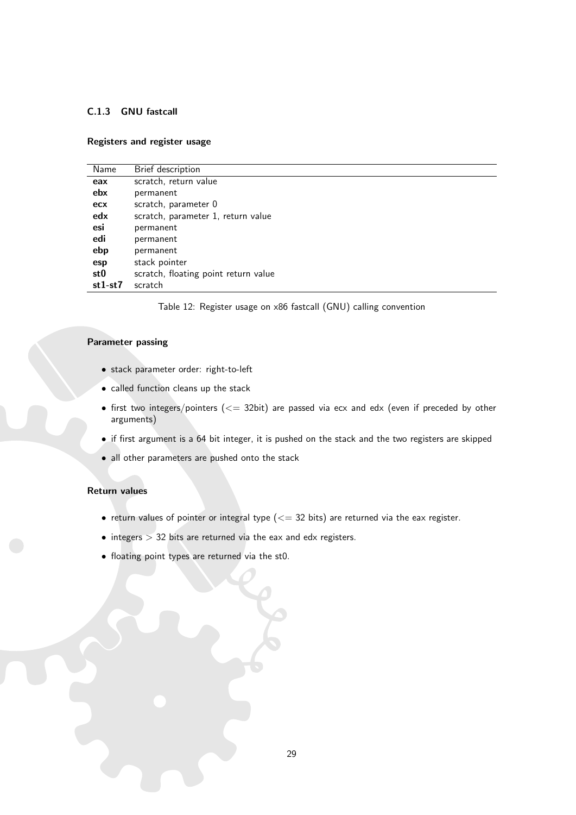# <span id="page-29-0"></span>C.1.3 GNU fastcall

#### Registers and register usage

| Name            | Brief description                    |
|-----------------|--------------------------------------|
| eax             | scratch, return value                |
| ebx             | permanent                            |
| ecx             | scratch, parameter 0                 |
| edx             | scratch, parameter 1, return value   |
| esi             | permanent                            |
| edi             | permanent                            |
| ebp             | permanent                            |
| esp             | stack pointer                        |
| st <sub>0</sub> | scratch, floating point return value |
| $st1-st7$       | scratch                              |
|                 |                                      |

<span id="page-29-1"></span>Table 12: Register usage on x86 fastcall (GNU) calling convention

#### Parameter passing

- stack parameter order: right-to-left
- called function cleans up the stack
- first two integers/pointers  $\left(\leq=32 \text{bit}\right)$  are passed via ecx and edx (even if preceded by other arguments)
- if first argument is a 64 bit integer, it is pushed on the stack and the two registers are skipped
- all other parameters are pushed onto the stack

#### Return values

- return values of pointer or integral type  $(<= 32$  bits) are returned via the eax register.
- $\bullet$  integers  $> 32$  bits are returned via the eax and edx registers.
- floating point types are returned via the st0.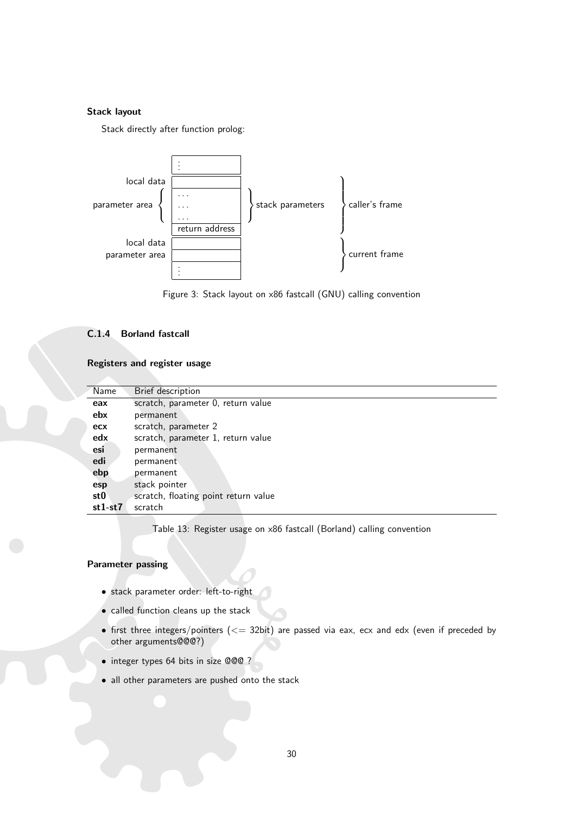# Stack layout

Stack directly after function prolog:



<span id="page-30-2"></span>Figure 3: Stack layout on x86 fastcall (GNU) calling convention

# <span id="page-30-0"></span>C.1.4 Borland fastcall

Registers and register usage

| Name      | Brief description                    |
|-----------|--------------------------------------|
| eax       | scratch, parameter 0, return value   |
| ebx       | permanent                            |
| ecx       | scratch, parameter 2                 |
| edx       | scratch, parameter 1, return value   |
| esi       | permanent                            |
| edi       | permanent                            |
| ebp       | permanent                            |
| esp       | stack pointer                        |
| st0       | scratch, floating point return value |
| $st1-st7$ | scratch                              |

<span id="page-30-1"></span>Table 13: Register usage on x86 fastcall (Borland) calling convention

## Parameter passing

- stack parameter order: left-to-right
- called function cleans up the stack
- first three integers/pointers  $(<= 32$ bit) are passed via eax, ecx and edx (even if preceded by other arguments@@@?)
- integer types 64 bits in size @@@ ?
- all other parameters are pushed onto the stack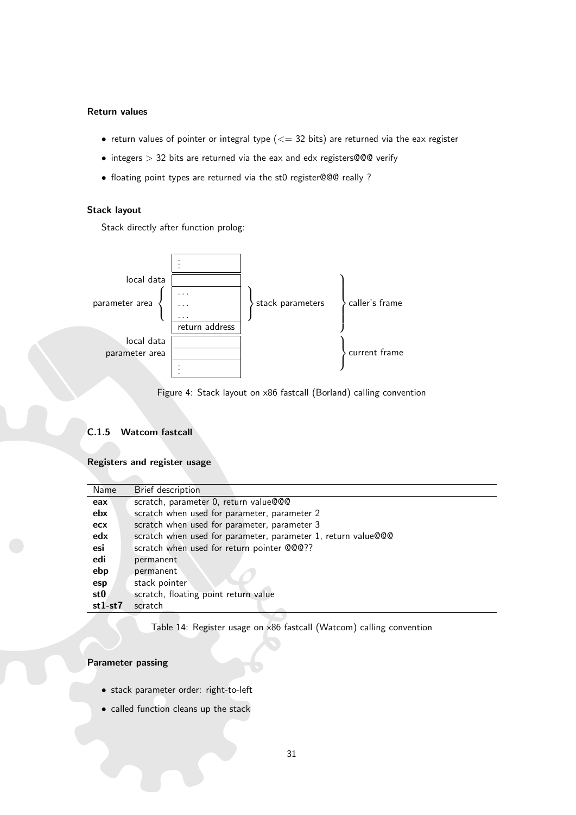#### Return values

- return values of pointer or integral type  $(<= 32$  bits) are returned via the eax register
- integers  $> 32$  bits are returned via the eax and edx registers@@@ verify
- floating point types are returned via the st0 register@@@ really ?

## Stack layout

Stack directly after function prolog:



<span id="page-31-2"></span>Figure 4: Stack layout on x86 fastcall (Borland) calling convention

#### <span id="page-31-0"></span>C.1.5 Watcom fastcall

## Registers and register usage

| Name      | Brief description                                             |
|-----------|---------------------------------------------------------------|
| eax       | scratch, parameter 0, return value@@@                         |
| ebx       | scratch when used for parameter, parameter 2                  |
| ecx       | scratch when used for parameter, parameter 3                  |
| edx       | scratch when used for parameter, parameter 1, return value@@@ |
| esi       | scratch when used for return pointer @@@??                    |
| edi       | permanent                                                     |
| ebp       | permanent                                                     |
| esp       | stack pointer                                                 |
| st0       | scratch, floating point return value                          |
| $st1-st7$ | scratch                                                       |

<span id="page-31-1"></span>Table 14: Register usage on x86 fastcall (Watcom) calling convention

#### Parameter passing

- stack parameter order: right-to-left
- called function cleans up the stack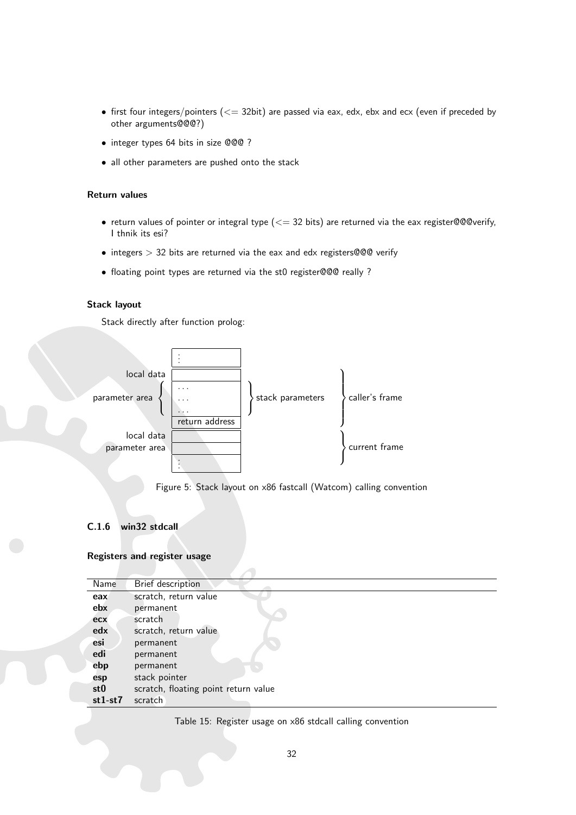- first four integers/pointers ( $<=$  32bit) are passed via eax, edx, ebx and ecx (even if preceded by other arguments@@@?)
- integer types 64 bits in size @@@ ?
- all other parameters are pushed onto the stack

#### Return values

- return values of pointer or integral type ( $\leq$  32 bits) are returned via the eax register@@@verify, I thnik its esi?
- $\bullet$  integers  $> 32$  bits are returned via the eax and edx registers@@@ verify
- floating point types are returned via the st0 register@@@ really ?

#### Stack layout

Stack directly after function prolog:



<span id="page-32-2"></span>Figure 5: Stack layout on x86 fastcall (Watcom) calling convention

# <span id="page-32-0"></span>C.1.6 win32 stdcall

#### Registers and register usage

| Name            | Brief description                    |
|-----------------|--------------------------------------|
| eax             | scratch, return value                |
| ebx             | permanent                            |
| ecx             | scratch                              |
| edx             | scratch, return value                |
| esi             | permanent                            |
| edi             | permanent                            |
| ebp             | permanent                            |
| esp             | stack pointer                        |
| st <sub>0</sub> | scratch, floating point return value |
| $st1-st7$       | scratch                              |

<span id="page-32-1"></span>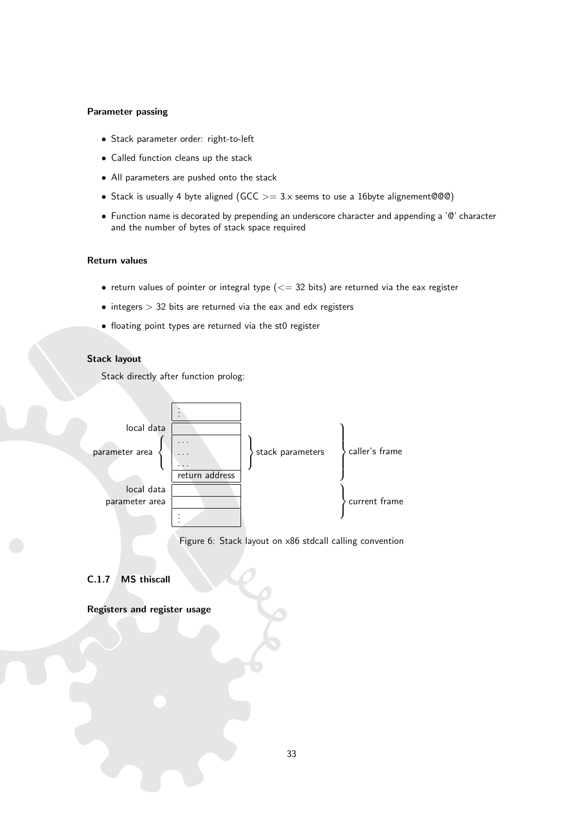## Parameter passing

- Stack parameter order: right-to-left
- Called function cleans up the stack
- All parameters are pushed onto the stack
- Stack is usually 4 byte aligned (GCC  $>= 3 \times$  seems to use a 16byte alignement@@@)
- Function name is decorated by prepending an underscore character and appending a '@' character and the number of bytes of stack space required

#### Return values

- return values of pointer or integral type  $(<= 32$  bits) are returned via the eax register
- $\bullet$  integers  $> 32$  bits are returned via the eax and edx registers
- floating point types are returned via the st0 register

# Stack layout

Stack directly after function prolog:



<span id="page-33-1"></span>Figure 6: Stack layout on x86 stdcall calling convention

# <span id="page-33-0"></span>C.1.7 MS thiscall

Registers and register usage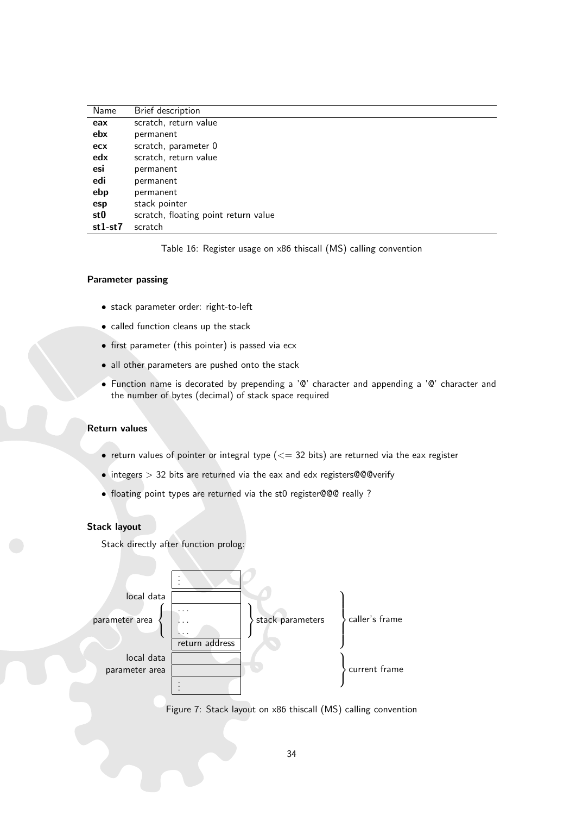| Name            | Brief description                    |
|-----------------|--------------------------------------|
| eax             | scratch, return value                |
| ebx             | permanent                            |
| ecx             | scratch, parameter 0                 |
| edx             | scratch, return value                |
| esi             | permanent                            |
| edi             | permanent                            |
| ebp             | permanent                            |
| esp             | stack pointer                        |
| st <sub>0</sub> | scratch, floating point return value |
| $st1-st7$       | scratch                              |

<span id="page-34-0"></span>Table 16: Register usage on x86 thiscall (MS) calling convention

#### Parameter passing

- stack parameter order: right-to-left
- called function cleans up the stack
- first parameter (this pointer) is passed via ecx
- all other parameters are pushed onto the stack
- Function name is decorated by prepending a '@' character and appending a '@' character and the number of bytes (decimal) of stack space required

#### Return values

- return values of pointer or integral type ( $\leq$  32 bits) are returned via the eax register
- integers  $> 32$  bits are returned via the eax and edx registers@@@verify
- floating point types are returned via the st0 register@@@ really ?

#### Stack layout



<span id="page-34-1"></span>Figure 7: Stack layout on x86 thiscall (MS) calling convention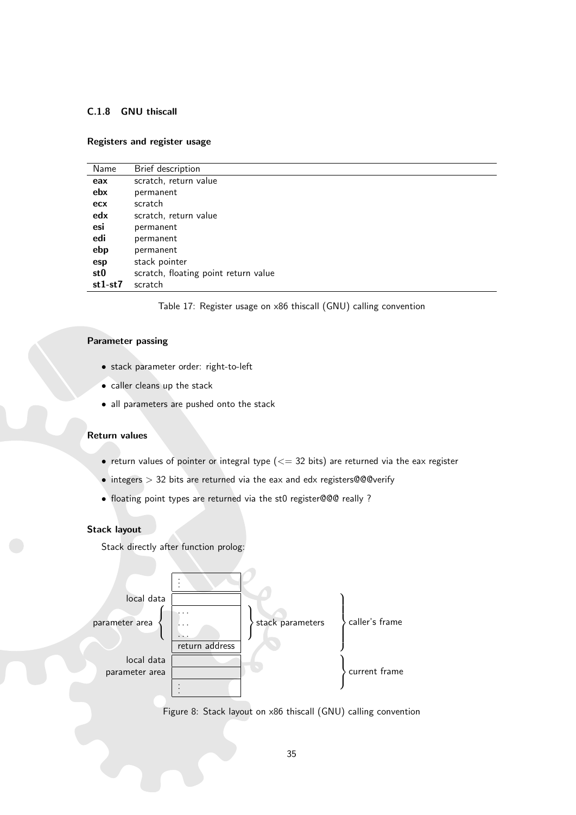## <span id="page-35-0"></span>C.1.8 GNU thiscall

#### Registers and register usage

| Name      | Brief description                    |
|-----------|--------------------------------------|
| eax       | scratch, return value                |
| ebx       | permanent                            |
| ecx       | scratch                              |
| edx       | scratch, return value                |
| esi       | permanent                            |
| edi       | permanent                            |
| ebp       | permanent                            |
| esp       | stack pointer                        |
| st0       | scratch, floating point return value |
| $st1-st7$ | scratch                              |
|           |                                      |

<span id="page-35-1"></span>Table 17: Register usage on x86 thiscall (GNU) calling convention

## Parameter passing

- stack parameter order: right-to-left
- caller cleans up the stack
- all parameters are pushed onto the stack

#### Return values

- return values of pointer or integral type  $(<= 32$  bits) are returned via the eax register
- integers > 32 bits are returned via the eax and edx registers@@@verify
- floating point types are returned via the st0 register@@@ really ?

## Stack layout



<span id="page-35-2"></span>Figure 8: Stack layout on x86 thiscall (GNU) calling convention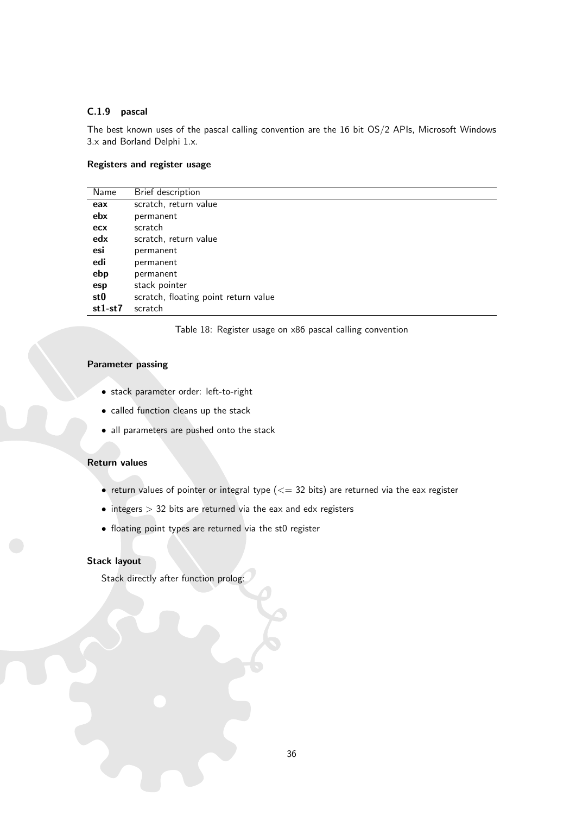## <span id="page-36-0"></span>C.1.9 pascal

The best known uses of the pascal calling convention are the 16 bit OS/2 APIs, Microsoft Windows 3.x and Borland Delphi 1.x.

## Registers and register usage

| Name      | Brief description                    |
|-----------|--------------------------------------|
| eax       | scratch, return value                |
| ebx       | permanent                            |
| ecx       | scratch                              |
| edx       | scratch, return value                |
| esi       | permanent                            |
| edi       | permanent                            |
| ebp       | permanent                            |
| esp       | stack pointer                        |
| st0       | scratch, floating point return value |
| $st1-st7$ | scratch                              |

<span id="page-36-1"></span>Table 18: Register usage on x86 pascal calling convention

#### Parameter passing

- stack parameter order: left-to-right
- called function cleans up the stack
- all parameters are pushed onto the stack

#### Return values

- return values of pointer or integral type  $(<= 32$  bits) are returned via the eax register
- $\bullet$  integers  $> 32$  bits are returned via the eax and edx registers
- floating point types are returned via the st0 register

## Stack layout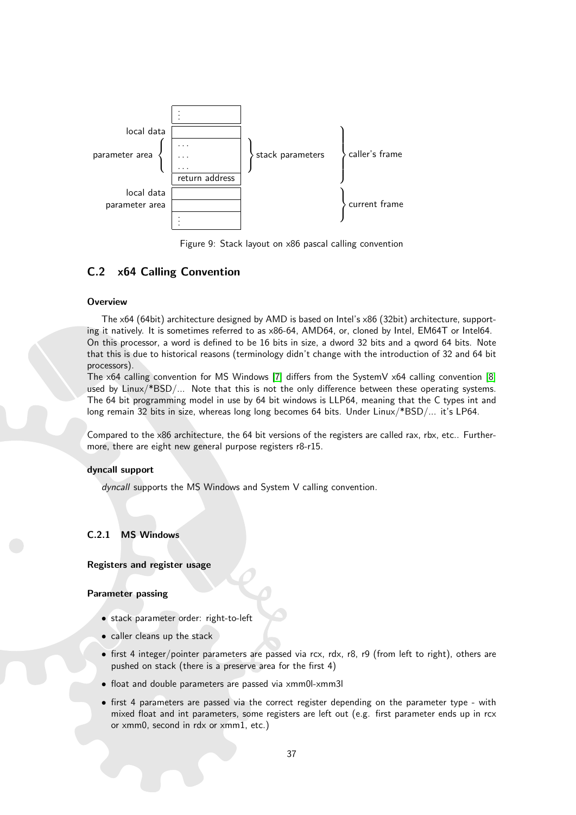

<span id="page-37-2"></span>Figure 9: Stack layout on x86 pascal calling convention

# <span id="page-37-0"></span>C.2 x64 Calling Convention

#### **Overview**

The x64 (64bit) architecture designed by AMD is based on Intel's x86 (32bit) architecture, supporting it natively. It is sometimes referred to as x86-64, AMD64, or, cloned by Intel, EM64T or Intel64. On this processor, a word is defined to be 16 bits in size, a dword 32 bits and a qword 64 bits. Note that this is due to historical reasons (terminology didn't change with the introduction of 32 and 64 bit processors).

The  $x64$  calling convention for MS Windows [\[7\]](#page-52-12) differs from the SystemV  $x64$  calling convention [\[8\]](#page-52-13) used by Linux/\*BSD/... Note that this is not the only difference between these operating systems. The 64 bit programming model in use by 64 bit windows is LLP64, meaning that the C types int and long remain 32 bits in size, whereas long long becomes 64 bits. Under Linux/\*BSD/... it's LP64.

Compared to the x86 architecture, the 64 bit versions of the registers are called rax, rbx, etc.. Furthermore, there are eight new general purpose registers r8-r15.

#### dyncall support

dyncall supports the MS Windows and System V calling convention.

#### <span id="page-37-1"></span>C.2.1 MS Windows

## Registers and register usage

#### Parameter passing

- stack parameter order: right-to-left
- caller cleans up the stack
- first 4 integer/pointer parameters are passed via rcx, rdx, r8, r9 (from left to right), others are pushed on stack (there is a preserve area for the first 4)
- float and double parameters are passed via xmm0l-xmm3l
- first 4 parameters are passed via the correct register depending on the parameter type with mixed float and int parameters, some registers are left out (e.g. first parameter ends up in rcx or xmm0, second in rdx or xmm1, etc.)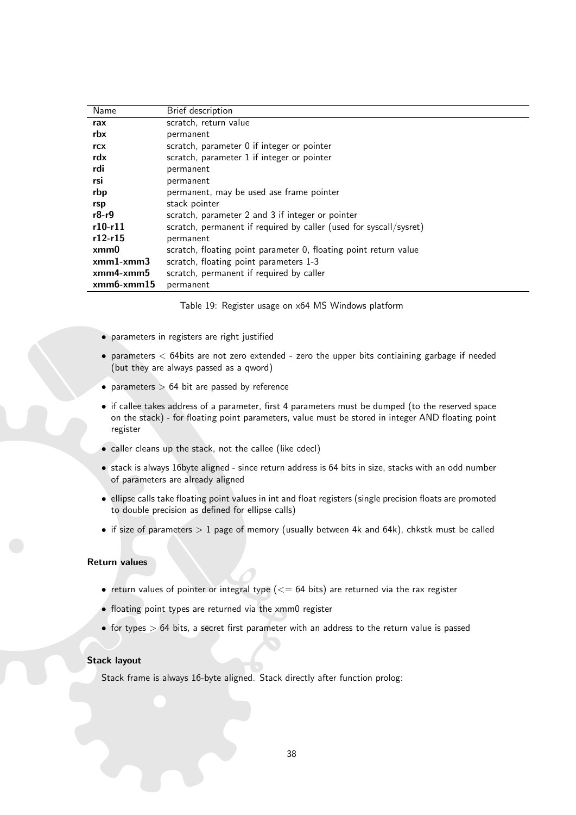| Name                 | Brief description                                                  |
|----------------------|--------------------------------------------------------------------|
| rax                  | scratch, return value                                              |
| rbx                  | permanent                                                          |
| rcx                  | scratch, parameter 0 if integer or pointer                         |
| rdx                  | scratch, parameter 1 if integer or pointer                         |
| rdi                  | permanent                                                          |
| rsi                  | permanent                                                          |
| rbp                  | permanent, may be used ase frame pointer                           |
| rsp                  | stack pointer                                                      |
| $r8-r9$              | scratch, parameter 2 and 3 if integer or pointer                   |
| $r10-r11$            | scratch, permanent if required by caller (used for syscall/sysret) |
| $r12-r15$            | permanent                                                          |
| xmm0                 | scratch, floating point parameter 0, floating point return value   |
| $xmm1$ - $xmm3$      | scratch, floating point parameters 1-3                             |
| $xmm4-xmm5$          | scratch, permanent if required by caller                           |
| $x$ mm $6-x$ mm $15$ | permanent                                                          |
|                      |                                                                    |

<span id="page-38-0"></span>Table 19: Register usage on x64 MS Windows platform

- parameters in registers are right justified
- parameters < 64bits are not zero extended zero the upper bits contiaining garbage if needed (but they are always passed as a qword)
- parameters  $> 64$  bit are passed by reference
- if callee takes address of a parameter, first 4 parameters must be dumped (to the reserved space on the stack) - for floating point parameters, value must be stored in integer AND floating point register
- caller cleans up the stack, not the callee (like cdecl)
- stack is always 16byte aligned since return address is 64 bits in size, stacks with an odd number of parameters are already aligned
- ellipse calls take floating point values in int and float registers (single precision floats are promoted to double precision as defined for ellipse calls)
- if size of parameters  $> 1$  page of memory (usually between 4k and 64k), chkstk must be called

#### Return values

- return values of pointer or integral type  $(<= 64$  bits) are returned via the rax register
- floating point types are returned via the xmm0 register
- $\bullet$  for types  $> 64$  bits, a secret first parameter with an address to the return value is passed

#### Stack layout

Stack frame is always 16-byte aligned. Stack directly after function prolog: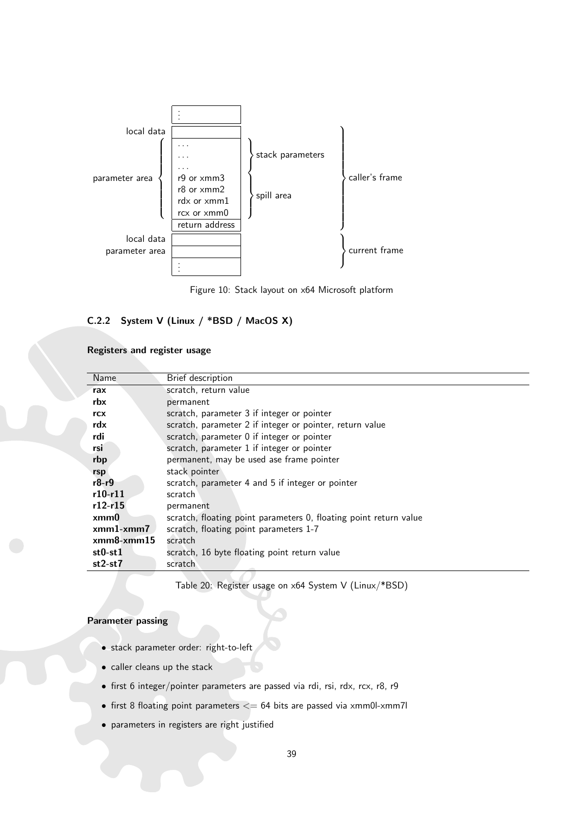

<span id="page-39-2"></span>Figure 10: Stack layout on x64 Microsoft platform

# <span id="page-39-0"></span>C.2.2 System V (Linux / \*BSD / MacOS X)

#### Registers and register usage

| Name         | Brief description                                                 |  |
|--------------|-------------------------------------------------------------------|--|
| rax          | scratch, return value                                             |  |
| rbx          | permanent                                                         |  |
| rcx          | scratch, parameter 3 if integer or pointer                        |  |
| rdx          | scratch, parameter 2 if integer or pointer, return value          |  |
| rdi          | scratch, parameter 0 if integer or pointer                        |  |
| rsi          | scratch, parameter 1 if integer or pointer                        |  |
| rbp          | permanent, may be used ase frame pointer                          |  |
| rsp          | stack pointer                                                     |  |
| r8-r9        | scratch, parameter 4 and 5 if integer or pointer                  |  |
| $r10-r11$    | scratch                                                           |  |
| $r12-r15$    | permanent                                                         |  |
| xmm0         | scratch, floating point parameters 0, floating point return value |  |
| $xmm1-xmm7$  | scratch, floating point parameters 1-7                            |  |
| $xmm8-xmm15$ | scratch                                                           |  |
| $st0-st1$    | scratch, 16 byte floating point return value                      |  |
| $st2-st7$    | scratch                                                           |  |

<span id="page-39-1"></span>Table 20: Register usage on x64 System V (Linux/\*BSD)

# Parameter passing

- stack parameter order: right-to-left
- caller cleans up the stack
- first 6 integer/pointer parameters are passed via rdi, rsi, rdx, rcx, r8, r9
- first 8 floating point parameters  $<= 64$  bits are passed via xmm0l-xmm7l
- parameters in registers are right justified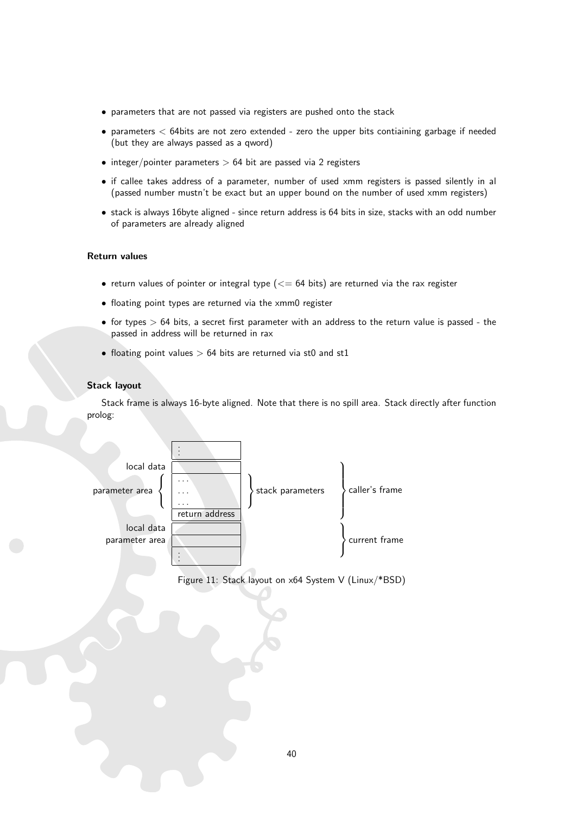- parameters that are not passed via registers are pushed onto the stack
- parameters < 64bits are not zero extended zero the upper bits contiaining garbage if needed (but they are always passed as a qword)
- integer/pointer parameters  $> 64$  bit are passed via 2 registers
- if callee takes address of a parameter, number of used xmm registers is passed silently in al (passed number mustn't be exact but an upper bound on the number of used xmm registers)
- stack is always 16byte aligned since return address is 64 bits in size, stacks with an odd number of parameters are already aligned

#### Return values

- return values of pointer or integral type  $(<= 64$  bits) are returned via the rax register
- floating point types are returned via the xmm0 register
- $\bullet$  for types  $> 64$  bits, a secret first parameter with an address to the return value is passed the passed in address will be returned in rax
- floating point values  $> 64$  bits are returned via st0 and st1

## Stack layout

Stack frame is always 16-byte aligned. Note that there is no spill area. Stack directly after function prolog:



<span id="page-40-0"></span>Figure 11: Stack layout on x64 System V (Linux/\*BSD)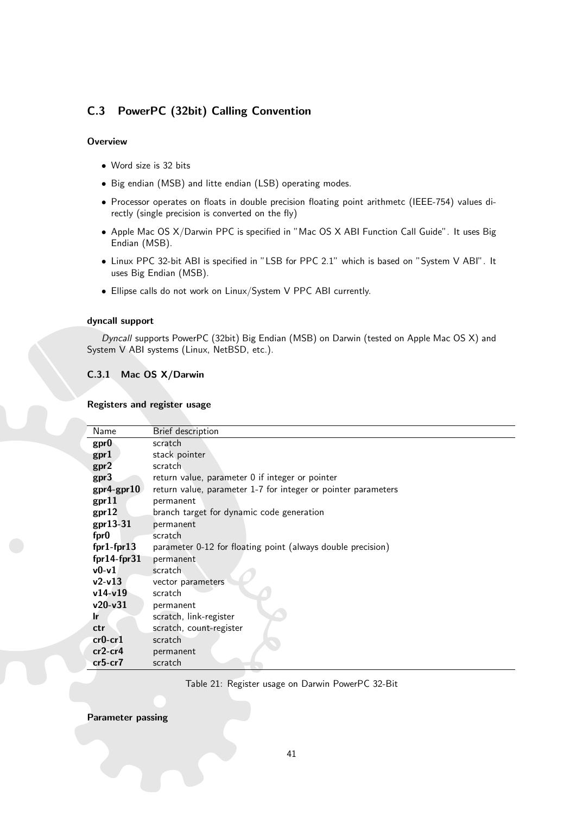# <span id="page-41-0"></span>C.3 PowerPC (32bit) Calling Convention

#### **Overview**

- Word size is 32 bits
- Big endian (MSB) and litte endian (LSB) operating modes.
- Processor operates on floats in double precision floating point arithmetc (IEEE-754) values directly (single precision is converted on the fly)
- Apple Mac OS X/Darwin PPC is specified in "Mac OS X ABI Function Call Guide". It uses Big Endian (MSB).
- Linux PPC 32-bit ABI is specified in "LSB for PPC 2.1" which is based on "System V ABI". It uses Big Endian (MSB).
- Ellipse calls do not work on Linux/System V PPC ABI currently.

#### dyncall support

Dyncall supports PowerPC (32bit) Big Endian (MSB) on Darwin (tested on Apple Mac OS X) and System V ABI systems (Linux, NetBSD, etc.).

#### <span id="page-41-1"></span>C.3.1 Mac OS X/Darwin

#### Registers and register usage

| Name          | Brief description                                             |  |  |  |
|---------------|---------------------------------------------------------------|--|--|--|
| gpr0          | scratch                                                       |  |  |  |
| gpr1          | stack pointer                                                 |  |  |  |
| gpr2          | scratch                                                       |  |  |  |
| gpr3          | return value, parameter 0 if integer or pointer               |  |  |  |
| $gpr4-gpr10$  | return value, parameter 1-7 for integer or pointer parameters |  |  |  |
| gpr11         | permanent                                                     |  |  |  |
| gpr12         | branch target for dynamic code generation                     |  |  |  |
| gpr13-31      | permanent                                                     |  |  |  |
| fpr0          | scratch                                                       |  |  |  |
| $fpr1-fpr13$  | parameter 0-12 for floating point (always double precision)   |  |  |  |
| $fpr14-fpr31$ | permanent                                                     |  |  |  |
| $v0-v1$       | scratch                                                       |  |  |  |
| $v2-v13$      | vector parameters                                             |  |  |  |
| $v14-v19$     | scratch                                                       |  |  |  |
| $v20-v31$     | permanent                                                     |  |  |  |
| .lr           | scratch, link-register                                        |  |  |  |
| ctr           | scratch, count-register                                       |  |  |  |
| $cr0-cr1$     | scratch                                                       |  |  |  |
| $cr2-cr4$     | permanent                                                     |  |  |  |
| $cr5-cr7$     | scratch                                                       |  |  |  |

<span id="page-41-2"></span>Table 21: Register usage on Darwin PowerPC 32-Bit

#### Parameter passing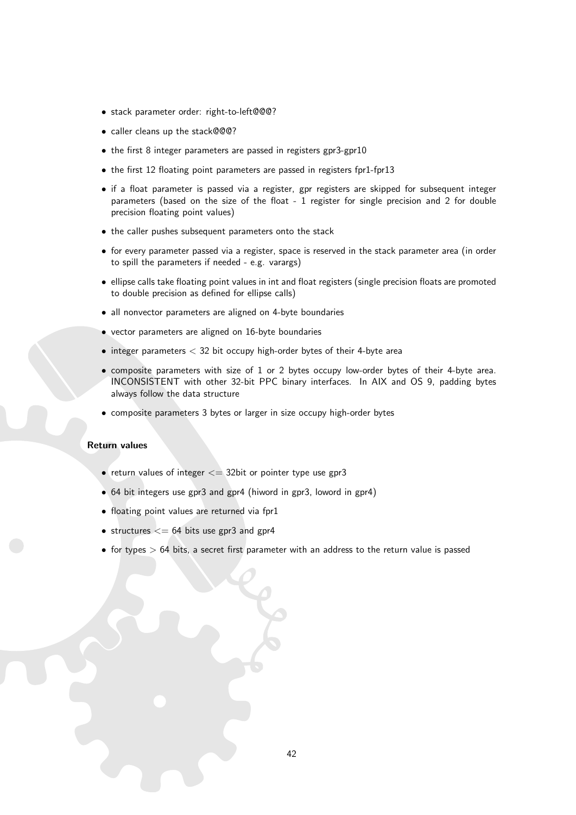- stack parameter order: right-to-left@@@?
- caller cleans up the stack@@@?
- the first 8 integer parameters are passed in registers gpr3-gpr10
- the first 12 floating point parameters are passed in registers fpr1-fpr13
- if a float parameter is passed via a register, gpr registers are skipped for subsequent integer parameters (based on the size of the float - 1 register for single precision and 2 for double precision floating point values)
- the caller pushes subsequent parameters onto the stack
- for every parameter passed via a register, space is reserved in the stack parameter area (in order to spill the parameters if needed - e.g. varargs)
- ellipse calls take floating point values in int and float registers (single precision floats are promoted to double precision as defined for ellipse calls)
- all nonvector parameters are aligned on 4-byte boundaries
- vector parameters are aligned on 16-byte boundaries
- $\bullet$  integer parameters  $<$  32 bit occupy high-order bytes of their 4-byte area
- composite parameters with size of 1 or 2 bytes occupy low-order bytes of their 4-byte area. INCONSISTENT with other 32-bit PPC binary interfaces. In AIX and OS 9, padding bytes always follow the data structure
- composite parameters 3 bytes or larger in size occupy high-order bytes

#### Return values

- return values of integer  $\leq$  32bit or pointer type use gpr3
- 64 bit integers use gpr3 and gpr4 (hiword in gpr3, loword in gpr4)
- floating point values are returned via fpr1
- structures  $\leq$  = 64 bits use gpr3 and gpr4
- $\bullet$  for types  $> 64$  bits, a secret first parameter with an address to the return value is passed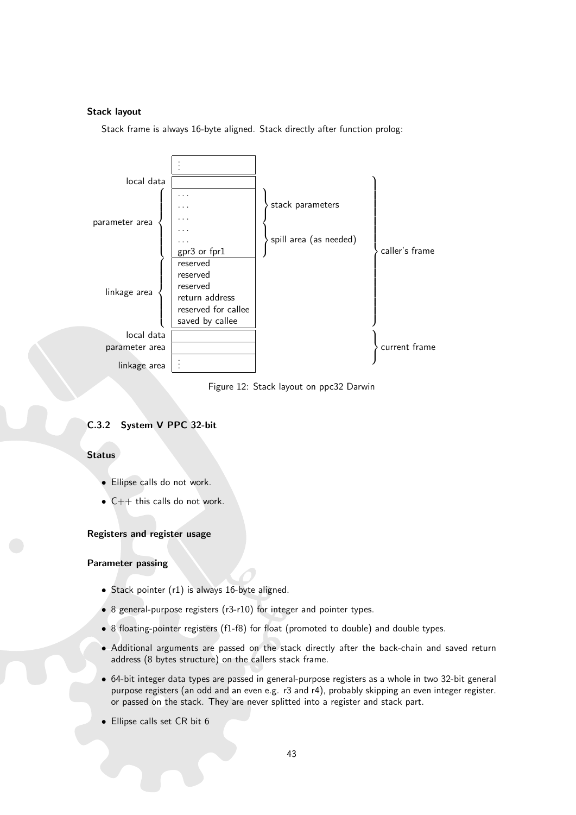#### Stack layout

Stack frame is always 16-byte aligned. Stack directly after function prolog:



<span id="page-43-1"></span>Figure 12: Stack layout on ppc32 Darwin

# <span id="page-43-0"></span>C.3.2 System V PPC 32-bit

#### **Status**

- Ellipse calls do not work.
- $\bullet$  C++ this calls do not work.

#### Registers and register usage

#### Parameter passing

- Stack pointer (r1) is always 16-byte aligned.
- 8 general-purpose registers (r3-r10) for integer and pointer types.
- 8 floating-pointer registers (f1-f8) for float (promoted to double) and double types.
- Additional arguments are passed on the stack directly after the back-chain and saved return address (8 bytes structure) on the callers stack frame.
- 64-bit integer data types are passed in general-purpose registers as a whole in two 32-bit general purpose registers (an odd and an even e.g. r3 and r4), probably skipping an even integer register. or passed on the stack. They are never splitted into a register and stack part.
- Ellipse calls set CR bit 6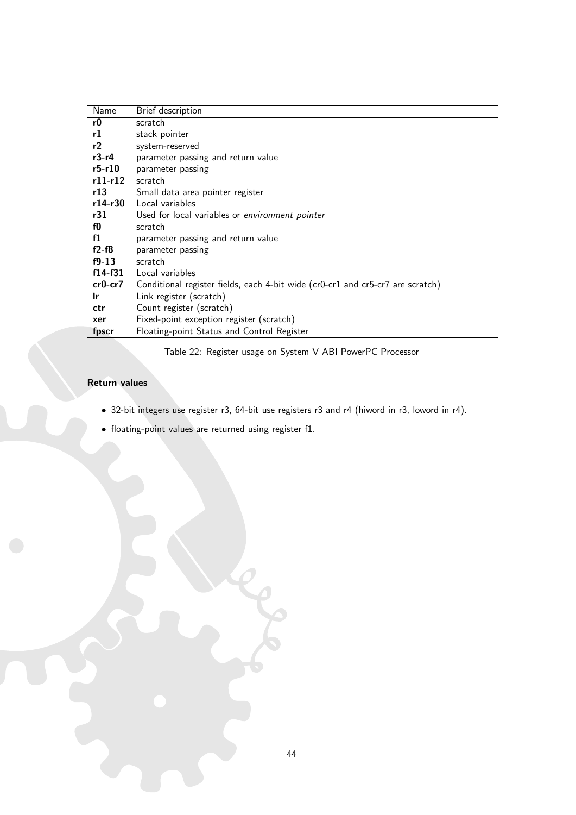| Name      | Brief description                                                              |
|-----------|--------------------------------------------------------------------------------|
| r0        | scratch                                                                        |
| r1        | stack pointer                                                                  |
| r2        | system-reserved                                                                |
| $r3-r4$   | parameter passing and return value                                             |
| $r5-r10$  | parameter passing                                                              |
| $r11-r12$ | scratch                                                                        |
| r13       | Small data area pointer register                                               |
| r14-r30   | Local variables                                                                |
| r31       | Used for local variables or environment pointer                                |
| fО        | scratch                                                                        |
| f1        | parameter passing and return value                                             |
| $f2-f8$   | parameter passing                                                              |
| $f9-13$   | scratch                                                                        |
| $f14-f31$ | Local variables                                                                |
| $cr0-cr7$ | Conditional register fields, each 4-bit wide (cr0-cr1 and cr5-cr7 are scratch) |
| Ir        | Link register (scratch)                                                        |
| ctr       | Count register (scratch)                                                       |
| xer       | Fixed-point exception register (scratch)                                       |
| fpscr     | Floating-point Status and Control Register                                     |

<span id="page-44-0"></span>Table 22: Register usage on System V ABI PowerPC Processor

# Return values

- 32-bit integers use register r3, 64-bit use registers r3 and r4 (hiword in r3, loword in r4).
- floating-point values are returned using register f1.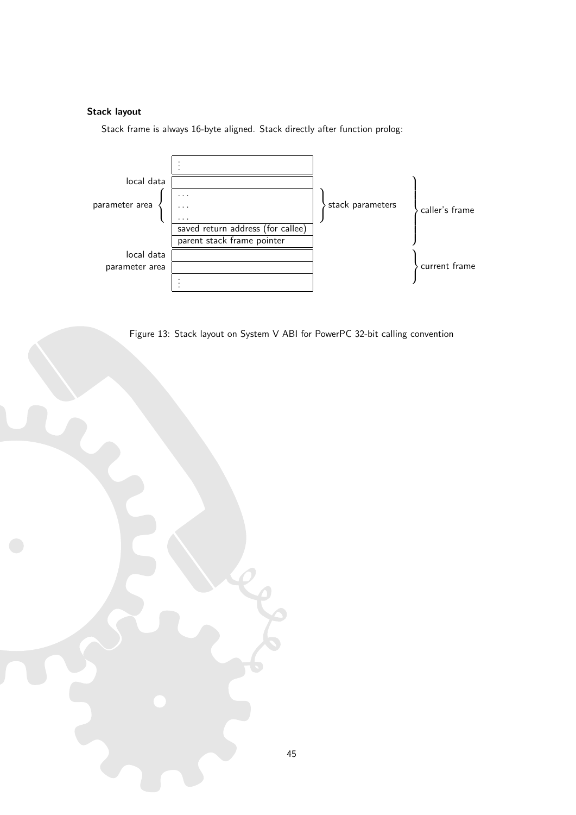# Stack layout

Stack frame is always 16-byte aligned. Stack directly after function prolog:



<span id="page-45-0"></span>Figure 13: Stack layout on System V ABI for PowerPC 32-bit calling convention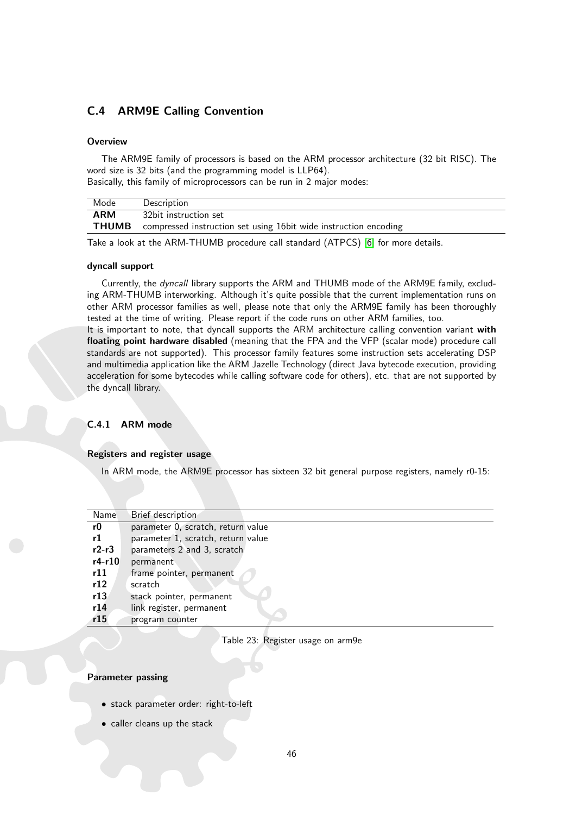# <span id="page-46-0"></span>C.4 ARM9E Calling Convention

#### **Overview**

The ARM9E family of processors is based on the ARM processor architecture (32 bit RISC). The word size is 32 bits (and the programming model is LLP64).

Basically, this family of microprocessors can be run in 2 major modes:

| Mode       | Description                                                                   |
|------------|-------------------------------------------------------------------------------|
| <b>ARM</b> | 32bit instruction set                                                         |
|            | <b>THUMB</b> compressed instruction set using 16bit wide instruction encoding |

Take a look at the ARM-THUMB procedure call standard (ATPCS) [\[6\]](#page-52-14) for more details.

#### dyncall support

Currently, the dyncall library supports the ARM and THUMB mode of the ARM9E family, excluding ARM-THUMB interworking. Although it's quite possible that the current implementation runs on other ARM processor families as well, please note that only the ARM9E family has been thoroughly tested at the time of writing. Please report if the code runs on other ARM families, too.

It is important to note, that dyncall supports the ARM architecture calling convention variant with floating point hardware disabled (meaning that the FPA and the VFP (scalar mode) procedure call standards are not supported). This processor family features some instruction sets accelerating DSP and multimedia application like the ARM Jazelle Technology (direct Java bytecode execution, providing acceleration for some bytecodes while calling software code for others), etc. that are not supported by the dyncall library.

#### <span id="page-46-1"></span>C.4.1 ARM mode

## Registers and register usage

In ARM mode, the ARM9E processor has sixteen 32 bit general purpose registers, namely r0-15:

| Name     | Brief description                  |
|----------|------------------------------------|
| r0       | parameter 0, scratch, return value |
| r1       | parameter 1, scratch, return value |
| $r2-r3$  | parameters 2 and 3, scratch        |
| $r4-r10$ | permanent                          |
| r11      | frame pointer, permanent           |
| r12      | scratch                            |
| r13      | stack pointer, permanent           |
| r14      | link register, permanent           |
| r15      | program counter                    |
|          |                                    |

#### <span id="page-46-2"></span>Table 23: Register usage on arm9e

#### Parameter passing

- stack parameter order: right-to-left
- caller cleans up the stack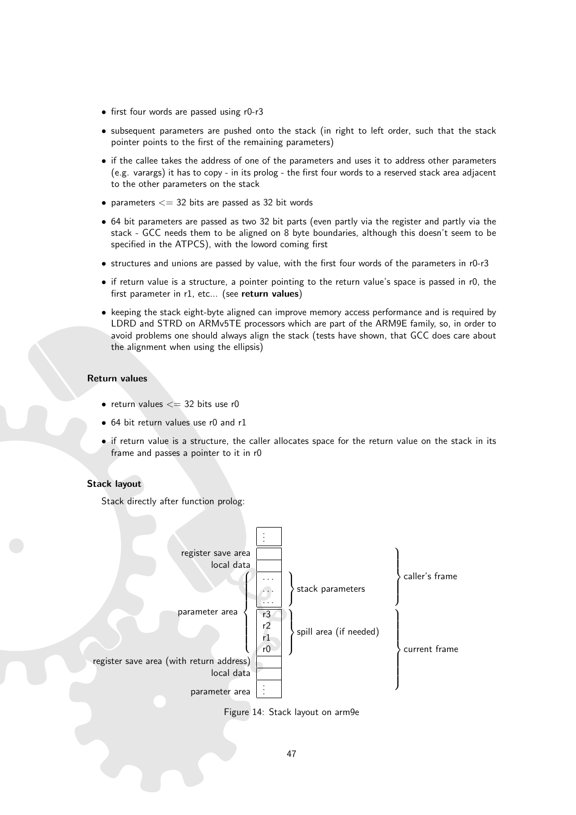- first four words are passed using r0-r3
- subsequent parameters are pushed onto the stack (in right to left order, such that the stack pointer points to the first of the remaining parameters)
- if the callee takes the address of one of the parameters and uses it to address other parameters (e.g. varargs) it has to copy - in its prolog - the first four words to a reserved stack area adjacent to the other parameters on the stack
- parameters  $<=$  32 bits are passed as 32 bit words
- 64 bit parameters are passed as two 32 bit parts (even partly via the register and partly via the stack - GCC needs them to be aligned on 8 byte boundaries, although this doesn't seem to be specified in the ATPCS), with the loword coming first
- structures and unions are passed by value, with the first four words of the parameters in r0-r3
- if return value is a structure, a pointer pointing to the return value's space is passed in r0, the first parameter in r1, etc... (see return values)
- keeping the stack eight-byte aligned can improve memory access performance and is required by LDRD and STRD on ARMv5TE processors which are part of the ARM9E family, so, in order to avoid problems one should always align the stack (tests have shown, that GCC does care about the alignment when using the ellipsis)

#### Return values

- return values  $<= 32$  bits use r0
- 64 bit return values use r0 and r1
- if return value is a structure, the caller allocates space for the return value on the stack in its frame and passes a pointer to it in r0

#### Stack layout



<span id="page-47-0"></span>Figure 14: Stack layout on arm9e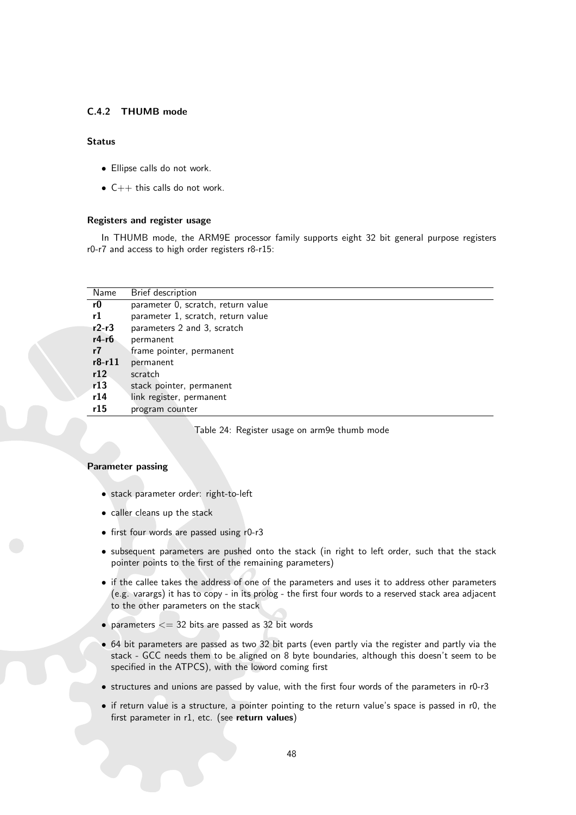#### <span id="page-48-0"></span>C.4.2 THUMB mode

#### **Status**

- Ellipse calls do not work.
- $\bullet$  C++ this calls do not work.

#### Registers and register usage

In THUMB mode, the ARM9E processor family supports eight 32 bit general purpose registers r0-r7 and access to high order registers r8-r15:

| Name     | Brief description                  |
|----------|------------------------------------|
|          |                                    |
| r0       | parameter 0, scratch, return value |
| r1       | parameter 1, scratch, return value |
| $r2-r3$  | parameters 2 and 3, scratch        |
| $r4-r6$  | permanent                          |
| r7       | frame pointer, permanent           |
| $r8-r11$ | permanent                          |
| r12      | scratch                            |
| r13      | stack pointer, permanent           |
| r14      | link register, permanent           |
| r15      | program counter                    |
|          |                                    |

<span id="page-48-1"></span>Table 24: Register usage on arm9e thumb mode

#### Parameter passing

- stack parameter order: right-to-left
- caller cleans up the stack
- first four words are passed using r0-r3
- subsequent parameters are pushed onto the stack (in right to left order, such that the stack pointer points to the first of the remaining parameters)
- if the callee takes the address of one of the parameters and uses it to address other parameters (e.g. varargs) it has to copy - in its prolog - the first four words to a reserved stack area adjacent to the other parameters on the stack
- parameters  $<=$  32 bits are passed as 32 bit words
- 64 bit parameters are passed as two 32 bit parts (even partly via the register and partly via the stack - GCC needs them to be aligned on 8 byte boundaries, although this doesn't seem to be specified in the ATPCS), with the loword coming first
- structures and unions are passed by value, with the first four words of the parameters in r0-r3
- if return value is a structure, a pointer pointing to the return value's space is passed in r0, the first parameter in r1, etc. (see return values)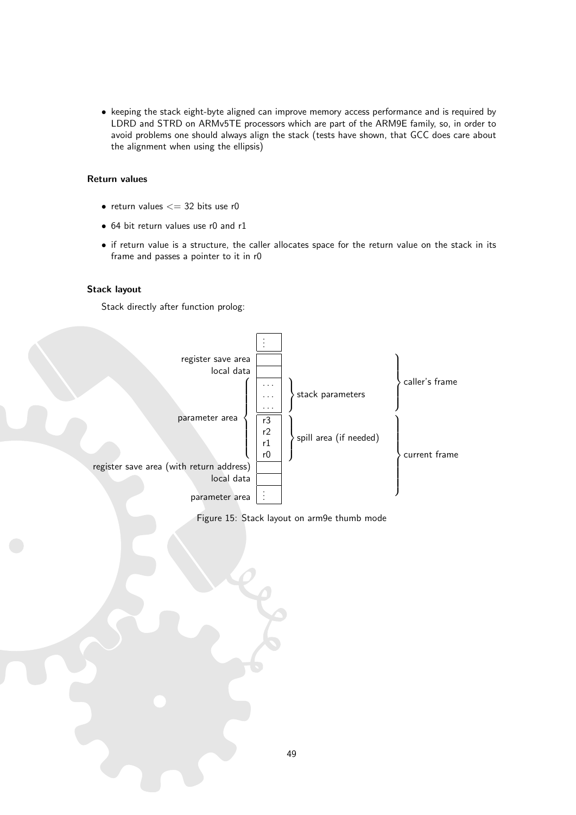• keeping the stack eight-byte aligned can improve memory access performance and is required by LDRD and STRD on ARMv5TE processors which are part of the ARM9E family, so, in order to avoid problems one should always align the stack (tests have shown, that GCC does care about the alignment when using the ellipsis)

#### Return values

- return values  $<= 32$  bits use r0
- 64 bit return values use r0 and r1
- if return value is a structure, the caller allocates space for the return value on the stack in its frame and passes a pointer to it in r0

#### Stack layout

Stack directly after function prolog:



<span id="page-49-0"></span>Figure 15: Stack layout on arm9e thumb mode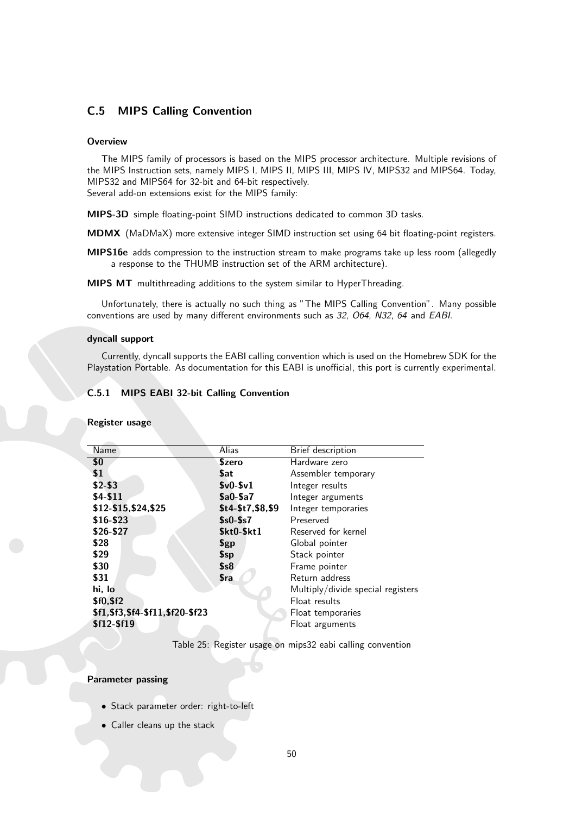# <span id="page-50-0"></span>C.5 MIPS Calling Convention

#### **Overview**

The MIPS family of processors is based on the MIPS processor architecture. Multiple revisions of the MIPS Instruction sets, namely MIPS I, MIPS II, MIPS III, MIPS IV, MIPS32 and MIPS64. Today, MIPS32 and MIPS64 for 32-bit and 64-bit respectively. Several add-on extensions exist for the MIPS family:

MIPS-3D simple floating-point SIMD instructions dedicated to common 3D tasks.

MDMX (MaDMaX) more extensive integer SIMD instruction set using 64 bit floating-point registers.

MIPS16e adds compression to the instruction stream to make programs take up less room (allegedly a response to the THUMB instruction set of the ARM architecture).

MIPS MT multithreading additions to the system similar to HyperThreading.

Unfortunately, there is actually no such thing as "The MIPS Calling Convention". Many possible conventions are used by many different environments such as 32, O64, N32, 64 and EABI.

#### dyncall support

Currently, dyncall supports the EABI calling convention which is used on the Homebrew SDK for the Playstation Portable. As documentation for this EABI is unofficial, this port is currently experimental.

#### <span id="page-50-1"></span>C.5.1 MIPS EABI 32-bit Calling Convention

#### Register usage

| Name                             | Alias             | Brief description                 |
|----------------------------------|-------------------|-----------------------------------|
| \$0                              | Szero             | Hardware zero                     |
| \$1                              | <b>Sat</b>        | Assembler temporary               |
| $$2-$3$                          | $$v0-$v1$         | Integer results                   |
| $$4-$11$                         | $$a0-§a7$         | Integer arguments                 |
| \$12-\$15,\$24,\$25              | $$t4-$t7, $8, $9$ | Integer temporaries               |
| $$16 - $23$                      | $$s0-$ \$s7       | Preserved                         |
| $$26-$27$                        | \$kt0-\$kt1       | Reserved for kernel               |
| \$28                             | \$gp              | Global pointer                    |
| \$29                             | \$sp              | Stack pointer                     |
| \$30                             | \$s8              | Frame pointer                     |
| \$31                             | <b>Sra</b>        | Return address                    |
| hi, lo                           |                   | Multiply/divide special registers |
| $$f0.$ $$f2$                     |                   | Float results                     |
| \$f1,\$f3,\$f4-\$f11,\$f20-\$f23 |                   | Float temporaries                 |
| \$f12-\$f19                      |                   | Float arguments                   |
|                                  |                   |                                   |

<span id="page-50-2"></span>Table 25: Register usage on mips32 eabi calling convention

#### Parameter passing

- Stack parameter order: right-to-left
- Caller cleans up the stack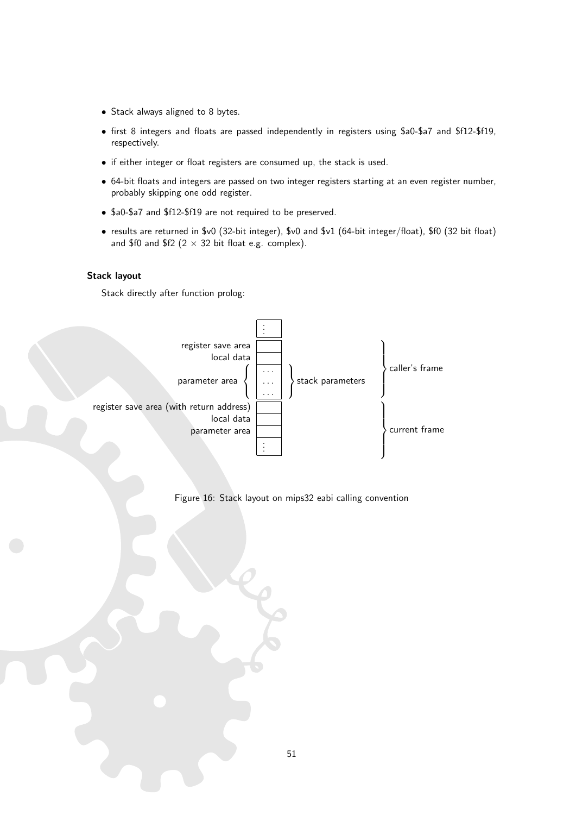- Stack always aligned to 8 bytes.
- first 8 integers and floats are passed independently in registers using \$a0-\$a7 and \$f12-\$f19, respectively.
- if either integer or float registers are consumed up, the stack is used.
- 64-bit floats and integers are passed on two integer registers starting at an even register number, probably skipping one odd register.
- \$a0-\$a7 and \$f12-\$f19 are not required to be preserved.
- results are returned in \$v0 (32-bit integer), \$v0 and \$v1 (64-bit integer/float), \$f0 (32 bit float) and \$f0 and \$f2 ( $2 \times 32$  bit float e.g. complex).

#### Stack layout



<span id="page-51-0"></span>Figure 16: Stack layout on mips32 eabi calling convention